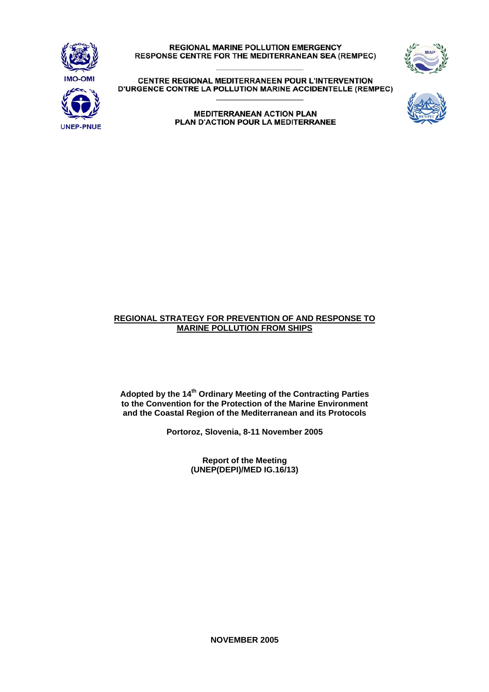

**REGIONAL MARINE POLLUTION EMERGENCY** RESPONSE CENTRE FOR THE MEDITERRANEAN SEA (REMPEC)



CENTRE REGIONAL MEDITERRANEEN POUR L'INTERVENTION D'URGENCE CONTRE LA POLLUTION MARINE ACCIDENTELLE (REMPEC)

> **MEDITERRANEAN ACTION PLAN** PLAN D'ACTION POUR LA MEDITERRANEE



### **REGIONAL STRATEGY FOR PREVENTION OF AND RESPONSE TO MARINE POLLUTION FROM SHIPS**

**Adopted by the 14th Ordinary Meeting of the Contracting Parties to the Convention for the Protection of the Marine Environment and the Coastal Region of the Mediterranean and its Protocols** 

**Portoroz, Slovenia, 8-11 November 2005** 

**Report of the Meeting (UNEP(DEPI)/MED IG.16/13)** 

**NOVEMBER 2005**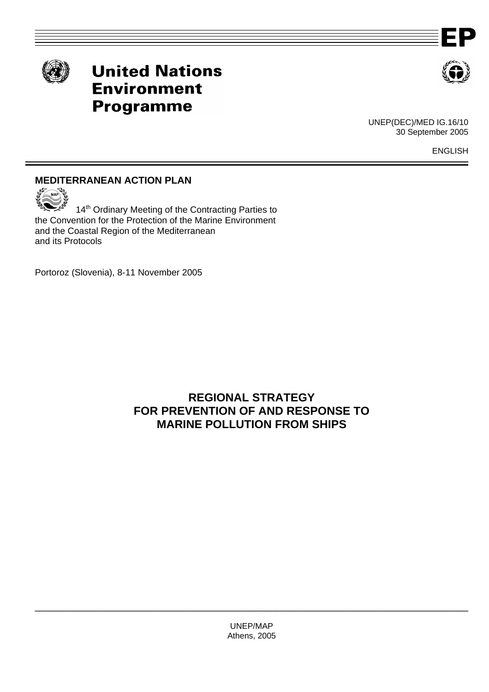



# **United Nations Environment Programme**



UNEP(DEC)/MED IG.16/10 30 September 2005

ENGLISH

# **MEDITERRANEAN ACTION PLAN**



14<sup>th</sup> Ordinary Meeting of the Contracting Parties to the Convention for the Protection of the Marine Environment and the Coastal Region of the Mediterranean and its Protocols

Portoroz (Slovenia), 8-11 November 2005

# **REGIONAL STRATEGY FOR PREVENTION OF AND RESPONSE TO MARINE POLLUTION FROM SHIPS**

UNEP/MAP Athens, 2005

\_\_\_\_\_\_\_\_\_\_\_\_\_\_\_\_\_\_\_\_\_\_\_\_\_\_\_\_\_\_\_\_\_\_\_\_\_\_\_\_\_\_\_\_\_\_\_\_\_\_\_\_\_\_\_\_\_\_\_\_\_\_\_\_\_\_\_\_\_\_\_\_\_\_\_\_\_\_\_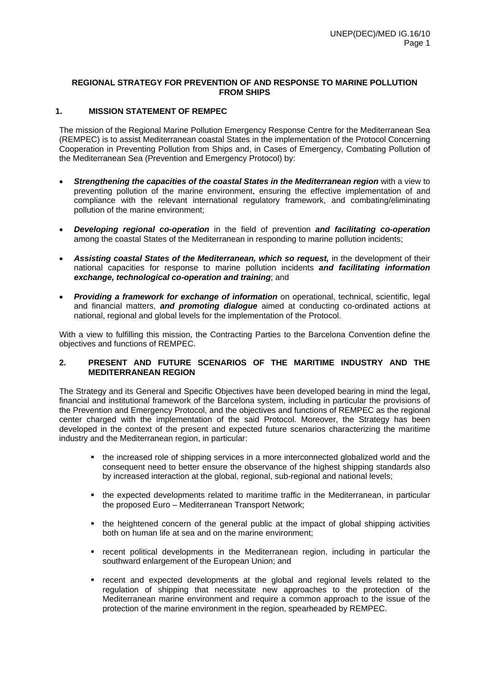### **1. MISSION STATEMENT OF REMPEC**

The mission of the Regional Marine Pollution Emergency Response Centre for the Mediterranean Sea (REMPEC) is to assist Mediterranean coastal States in the implementation of the Protocol Concerning Cooperation in Preventing Pollution from Ships and, in Cases of Emergency, Combating Pollution of the Mediterranean Sea (Prevention and Emergency Protocol) by:

- *Strengthening the capacities of the coastal States in the Mediterranean region* with a view to preventing pollution of the marine environment, ensuring the effective implementation of and compliance with the relevant international regulatory framework, and combating/eliminating pollution of the marine environment;
- *Developing regional co-operation* in the field of prevention *and facilitating co-operation* among the coastal States of the Mediterranean in responding to marine pollution incidents;
- *Assisting coastal States of the Mediterranean, which so request,* in the development of their national capacities for response to marine pollution incidents *and facilitating information exchange, technological co-operation and training*; and
- *Providing a framework for exchange of information* on operational, technical, scientific, legal and financial matters, *and promoting dialogue* aimed at conducting co-ordinated actions at national, regional and global levels for the implementation of the Protocol.

With a view to fulfilling this mission, the Contracting Parties to the Barcelona Convention define the objectives and functions of REMPEC.

### **2. PRESENT AND FUTURE SCENARIOS OF THE MARITIME INDUSTRY AND THE MEDITERRANEAN REGION**

The Strategy and its General and Specific Objectives have been developed bearing in mind the legal, financial and institutional framework of the Barcelona system, including in particular the provisions of the Prevention and Emergency Protocol, and the objectives and functions of REMPEC as the regional center charged with the implementation of the said Protocol. Moreover, the Strategy has been developed in the context of the present and expected future scenarios characterizing the maritime industry and the Mediterranean region, in particular:

- the increased role of shipping services in a more interconnected globalized world and the consequent need to better ensure the observance of the highest shipping standards also by increased interaction at the global, regional, sub-regional and national levels;
- the expected developments related to maritime traffic in the Mediterranean, in particular the proposed Euro – Mediterranean Transport Network;
- the heightened concern of the general public at the impact of global shipping activities both on human life at sea and on the marine environment;
- recent political developments in the Mediterranean region, including in particular the southward enlargement of the European Union; and
- recent and expected developments at the global and regional levels related to the regulation of shipping that necessitate new approaches to the protection of the Mediterranean marine environment and require a common approach to the issue of the protection of the marine environment in the region, spearheaded by REMPEC.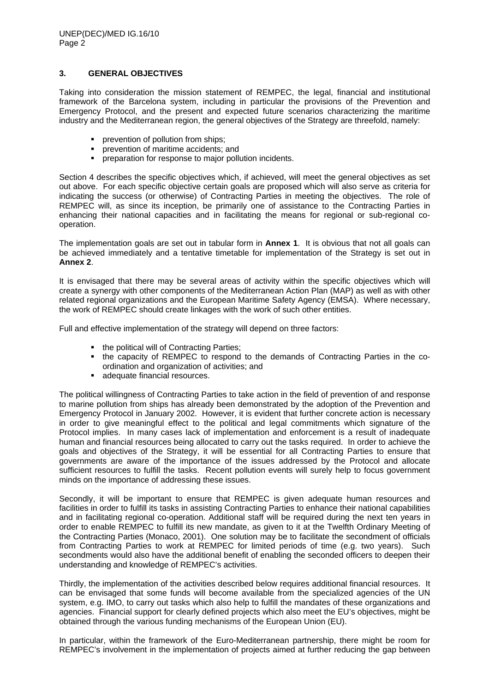### **3. GENERAL OBJECTIVES**

Taking into consideration the mission statement of REMPEC, the legal, financial and institutional framework of the Barcelona system, including in particular the provisions of the Prevention and Emergency Protocol, and the present and expected future scenarios characterizing the maritime industry and the Mediterranean region, the general objectives of the Strategy are threefold, namely:

- **•** prevention of pollution from ships;
- **PEDITE:** prevention of maritime accidents; and
- **•** preparation for response to major pollution incidents.

Section 4 describes the specific objectives which, if achieved, will meet the general objectives as set out above. For each specific objective certain goals are proposed which will also serve as criteria for indicating the success (or otherwise) of Contracting Parties in meeting the objectives. The role of REMPEC will, as since its inception, be primarily one of assistance to the Contracting Parties in enhancing their national capacities and in facilitating the means for regional or sub-regional cooperation.

The implementation goals are set out in tabular form in **Annex 1**. It is obvious that not all goals can be achieved immediately and a tentative timetable for implementation of the Strategy is set out in **Annex 2**.

It is envisaged that there may be several areas of activity within the specific objectives which will create a synergy with other components of the Mediterranean Action Plan (MAP) as well as with other related regional organizations and the European Maritime Safety Agency (EMSA). Where necessary, the work of REMPEC should create linkages with the work of such other entities.

Full and effective implementation of the strategy will depend on three factors:

- the political will of Contracting Parties:
- the capacity of REMPEC to respond to the demands of Contracting Parties in the coordination and organization of activities; and
- adequate financial resources.

The political willingness of Contracting Parties to take action in the field of prevention of and response to marine pollution from ships has already been demonstrated by the adoption of the Prevention and Emergency Protocol in January 2002. However, it is evident that further concrete action is necessary in order to give meaningful effect to the political and legal commitments which signature of the Protocol implies. In many cases lack of implementation and enforcement is a result of inadequate human and financial resources being allocated to carry out the tasks required. In order to achieve the goals and objectives of the Strategy, it will be essential for all Contracting Parties to ensure that governments are aware of the importance of the issues addressed by the Protocol and allocate sufficient resources to fulfill the tasks. Recent pollution events will surely help to focus government minds on the importance of addressing these issues.

Secondly, it will be important to ensure that REMPEC is given adequate human resources and facilities in order to fulfill its tasks in assisting Contracting Parties to enhance their national capabilities and in facilitating regional co-operation. Additional staff will be required during the next ten years in order to enable REMPEC to fulfill its new mandate, as given to it at the Twelfth Ordinary Meeting of the Contracting Parties (Monaco, 2001). One solution may be to facilitate the secondment of officials from Contracting Parties to work at REMPEC for limited periods of time (e.g. two years). Such secondments would also have the additional benefit of enabling the seconded officers to deepen their understanding and knowledge of REMPEC's activities.

Thirdly, the implementation of the activities described below requires additional financial resources. It can be envisaged that some funds will become available from the specialized agencies of the UN system, e.g. IMO, to carry out tasks which also help to fulfill the mandates of these organizations and agencies. Financial support for clearly defined projects which also meet the EU's objectives, might be obtained through the various funding mechanisms of the European Union (EU).

In particular, within the framework of the Euro-Mediterranean partnership, there might be room for REMPEC's involvement in the implementation of projects aimed at further reducing the gap between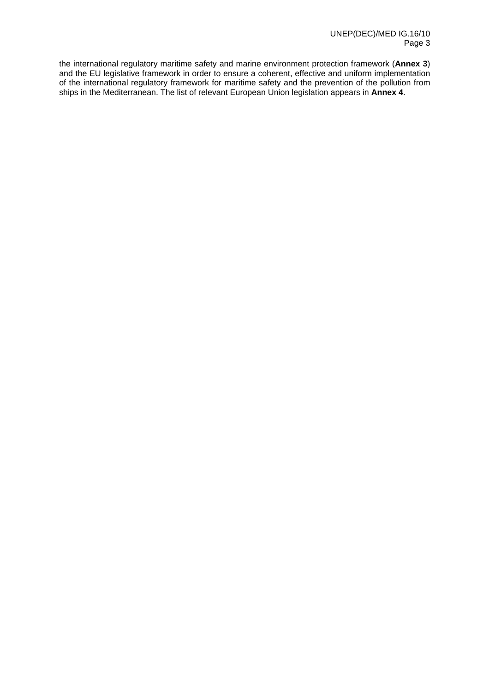the international regulatory maritime safety and marine environment protection framework (**Annex 3**) and the EU legislative framework in order to ensure a coherent, effective and uniform implementation of the international regulatory framework for maritime safety and the prevention of the pollution from ships in the Mediterranean. The list of relevant European Union legislation appears in **Annex 4**.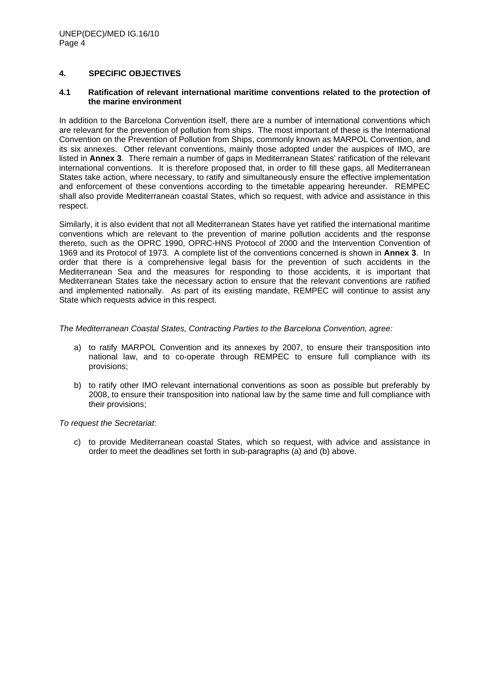### **4. SPECIFIC OBJECTIVES**

### **4.1 Ratification of relevant international maritime conventions related to the protection of the marine environment**

In addition to the Barcelona Convention itself, there are a number of international conventions which are relevant for the prevention of pollution from ships. The most important of these is the International Convention on the Prevention of Pollution from Ships, commonly known as MARPOL Convention, and its six annexes. Other relevant conventions, mainly those adopted under the auspices of IMO, are listed in **Annex 3**. There remain a number of gaps in Mediterranean States' ratification of the relevant international conventions. It is therefore proposed that, in order to fill these gaps, all Mediterranean States take action, where necessary, to ratify and simultaneously ensure the effective implementation and enforcement of these conventions according to the timetable appearing hereunder. REMPEC shall also provide Mediterranean coastal States, which so request, with advice and assistance in this respect.

Similarly, it is also evident that not all Mediterranean States have yet ratified the international maritime conventions which are relevant to the prevention of marine pollution accidents and the response thereto, such as the OPRC 1990, OPRC-HNS Protocol of 2000 and the Intervention Convention of 1969 and its Protocol of 1973. A complete list of the conventions concerned is shown in **Annex 3**. In order that there is a comprehensive legal basis for the prevention of such accidents in the Mediterranean Sea and the measures for responding to those accidents, it is important that Mediterranean States take the necessary action to ensure that the relevant conventions are ratified and implemented nationally. As part of its existing mandate, REMPEC will continue to assist any State which requests advice in this respect.

### *The Mediterranean Coastal States, Contracting Parties to the Barcelona Convention, agree:*

- a) to ratify MARPOL Convention and its annexes by 2007, to ensure their transposition into national law, and to co-operate through REMPEC to ensure full compliance with its provisions;
- b) to ratify other IMO relevant international conventions as soon as possible but preferably by 2008, to ensure their transposition into national law by the same time and full compliance with their provisions;

*To request the Secretariat*:

c) to provide Mediterranean coastal States, which so request, with advice and assistance in order to meet the deadlines set forth in sub-paragraphs (a) and (b) above.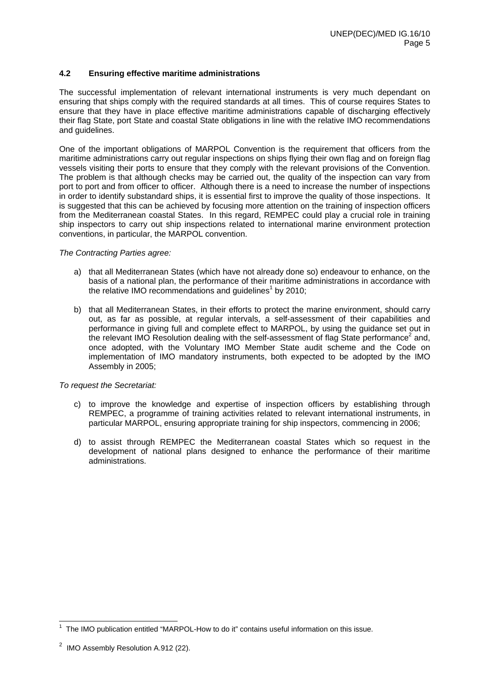### **4.2 Ensuring effective maritime administrations**

The successful implementation of relevant international instruments is very much dependant on ensuring that ships comply with the required standards at all times. This of course requires States to ensure that they have in place effective maritime administrations capable of discharging effectively their flag State, port State and coastal State obligations in line with the relative IMO recommendations and guidelines.

One of the important obligations of MARPOL Convention is the requirement that officers from the maritime administrations carry out regular inspections on ships flying their own flag and on foreign flag vessels visiting their ports to ensure that they comply with the relevant provisions of the Convention. The problem is that although checks may be carried out, the quality of the inspection can vary from port to port and from officer to officer. Although there is a need to increase the number of inspections in order to identify substandard ships, it is essential first to improve the quality of those inspections. It is suggested that this can be achieved by focusing more attention on the training of inspection officers from the Mediterranean coastal States. In this regard, REMPEC could play a crucial role in training ship inspectors to carry out ship inspections related to international marine environment protection conventions, in particular, the MARPOL convention.

### *The Contracting Parties agree:*

- a) that all Mediterranean States (which have not already done so) endeavour to enhance, on the basis of a national plan, the performance of their maritime administrations in accordance with the relative IMO recommendations and guidelines<sup>1</sup> by 2010;
- b) that all Mediterranean States, in their efforts to protect the marine environment, should carry out, as far as possible, at regular intervals, a self-assessment of their capabilities and performance in giving full and complete effect to MARPOL, by using the guidance set out in the relevant IMO Resolution dealing with the self-assessment of flag State performance<sup>2</sup> and, once adopted, with the Voluntary IMO Member State audit scheme and the Code on implementation of IMO mandatory instruments, both expected to be adopted by the IMO Assembly in 2005;

- c) to improve the knowledge and expertise of inspection officers by establishing through REMPEC, a programme of training activities related to relevant international instruments, in particular MARPOL, ensuring appropriate training for ship inspectors, commencing in 2006;
- d) to assist through REMPEC the Mediterranean coastal States which so request in the development of national plans designed to enhance the performance of their maritime administrations.

 1 The IMO publication entitled "MARPOL-How to do it" contains useful information on this issue.

 $2$  IMO Assembly Resolution A.912 (22).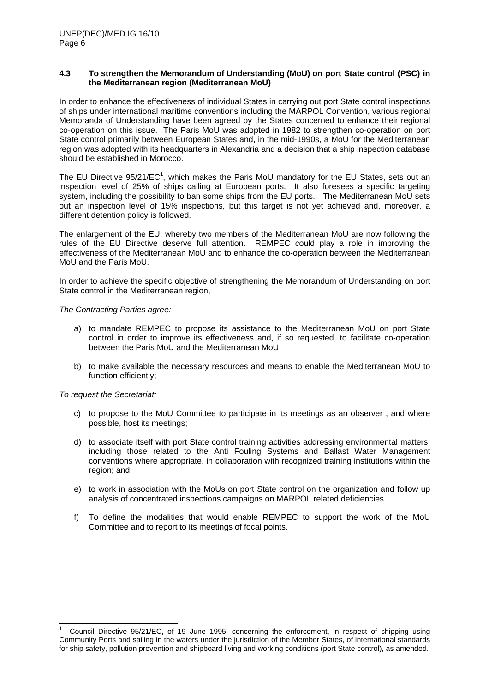### **4.3 To strengthen the Memorandum of Understanding (MoU) on port State control (PSC) in the Mediterranean region (Mediterranean MoU)**

In order to enhance the effectiveness of individual States in carrying out port State control inspections of ships under international maritime conventions including the MARPOL Convention, various regional Memoranda of Understanding have been agreed by the States concerned to enhance their regional co-operation on this issue. The Paris MoU was adopted in 1982 to strengthen co-operation on port State control primarily between European States and, in the mid-1990s, a MoU for the Mediterranean region was adopted with its headquarters in Alexandria and a decision that a ship inspection database should be established in Morocco.

The EU Directive  $95/21/EC<sup>1</sup>$ , which makes the Paris MoU mandatory for the EU States, sets out an inspection level of 25% of ships calling at European ports. It also foresees a specific targeting system, including the possibility to ban some ships from the EU ports. The Mediterranean MoU sets out an inspection level of 15% inspections, but this target is not yet achieved and, moreover, a different detention policy is followed.

The enlargement of the EU, whereby two members of the Mediterranean MoU are now following the rules of the EU Directive deserve full attention. REMPEC could play a role in improving the effectiveness of the Mediterranean MoU and to enhance the co-operation between the Mediterranean MoU and the Paris MoU.

In order to achieve the specific objective of strengthening the Memorandum of Understanding on port State control in the Mediterranean region,

*The Contracting Parties agree:* 

- a) to mandate REMPEC to propose its assistance to the Mediterranean MoU on port State control in order to improve its effectiveness and, if so requested, to facilitate co-operation between the Paris MoU and the Mediterranean MoU;
- b) to make available the necessary resources and means to enable the Mediterranean MoU to function efficiently;

*To request the Secretariat:*

l

- c) to propose to the MoU Committee to participate in its meetings as an observer , and where possible, host its meetings;
- d) to associate itself with port State control training activities addressing environmental matters, including those related to the Anti Fouling Systems and Ballast Water Management conventions where appropriate, in collaboration with recognized training institutions within the region; and
- e) to work in association with the MoUs on port State control on the organization and follow up analysis of concentrated inspections campaigns on MARPOL related deficiencies.
- f) To define the modalities that would enable REMPEC to support the work of the MoU Committee and to report to its meetings of focal points.

<sup>1</sup> Council Directive 95/21/EC, of 19 June 1995, concerning the enforcement, in respect of shipping using Community Ports and sailing in the waters under the jurisdiction of the Member States, of international standards for ship safety, pollution prevention and shipboard living and working conditions (port State control), as amended.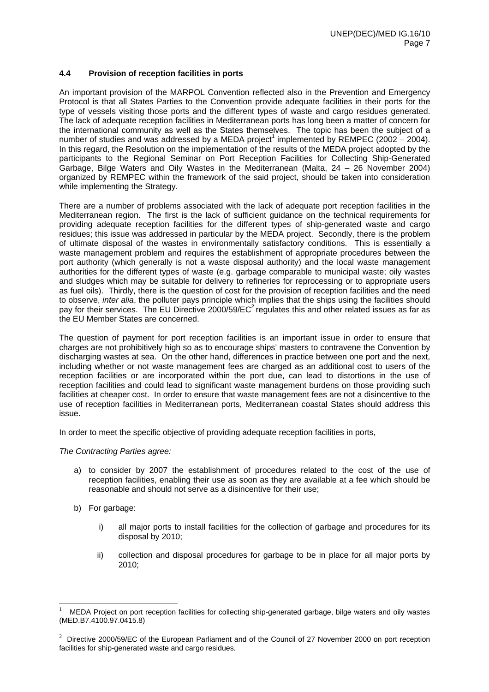### **4.4 Provision of reception facilities in ports**

An important provision of the MARPOL Convention reflected also in the Prevention and Emergency Protocol is that all States Parties to the Convention provide adequate facilities in their ports for the type of vessels visiting those ports and the different types of waste and cargo residues generated. The lack of adequate reception facilities in Mediterranean ports has long been a matter of concern for the international community as well as the States themselves. The topic has been the subject of a number of studies and was addressed by a MEDA project<sup>1</sup> implemented by REMPEC (2002 – 2004). In this regard, the Resolution on the implementation of the results of the MEDA project adopted by the participants to the Regional Seminar on Port Reception Facilities for Collecting Ship-Generated Garbage, Bilge Waters and Oily Wastes in the Mediterranean (Malta, 24 – 26 November 2004) organized by REMPEC within the framework of the said project, should be taken into consideration while implementing the Strategy.

There are a number of problems associated with the lack of adequate port reception facilities in the Mediterranean region. The first is the lack of sufficient guidance on the technical requirements for providing adequate reception facilities for the different types of ship-generated waste and cargo residues; this issue was addressed in particular by the MEDA project. Secondly, there is the problem of ultimate disposal of the wastes in environmentally satisfactory conditions. This is essentially a waste management problem and requires the establishment of appropriate procedures between the port authority (which generally is not a waste disposal authority) and the local waste management authorities for the different types of waste (e.g. garbage comparable to municipal waste; oily wastes and sludges which may be suitable for delivery to refineries for reprocessing or to appropriate users as fuel oils). Thirdly, there is the question of cost for the provision of reception facilities and the need to observe, *inter alia*, the polluter pays principle which implies that the ships using the facilities should pay for their services. The EU Directive 2000/59/ $EC^2$  regulates this and other related issues as far as the EU Member States are concerned.

The question of payment for port reception facilities is an important issue in order to ensure that charges are not prohibitively high so as to encourage ships' masters to contravene the Convention by discharging wastes at sea. On the other hand, differences in practice between one port and the next, including whether or not waste management fees are charged as an additional cost to users of the reception facilities or are incorporated within the port due, can lead to distortions in the use of reception facilities and could lead to significant waste management burdens on those providing such facilities at cheaper cost. In order to ensure that waste management fees are not a disincentive to the use of reception facilities in Mediterranean ports, Mediterranean coastal States should address this issue.

In order to meet the specific objective of providing adequate reception facilities in ports,

### *The Contracting Parties agree:*

- a) to consider by 2007 the establishment of procedures related to the cost of the use of reception facilities, enabling their use as soon as they are available at a fee which should be reasonable and should not serve as a disincentive for their use;
- b) For garbage:

l

- i) all major ports to install facilities for the collection of garbage and procedures for its disposal by 2010;
- ii) collection and disposal procedures for garbage to be in place for all major ports by 2010;

<sup>1</sup> MEDA Project on port reception facilities for collecting ship-generated garbage, bilge waters and oily wastes (MED.B7.4100.97.0415.8)

<sup>&</sup>lt;sup>2</sup> Directive 2000/59/EC of the European Parliament and of the Council of 27 November 2000 on port reception facilities for ship-generated waste and cargo residues.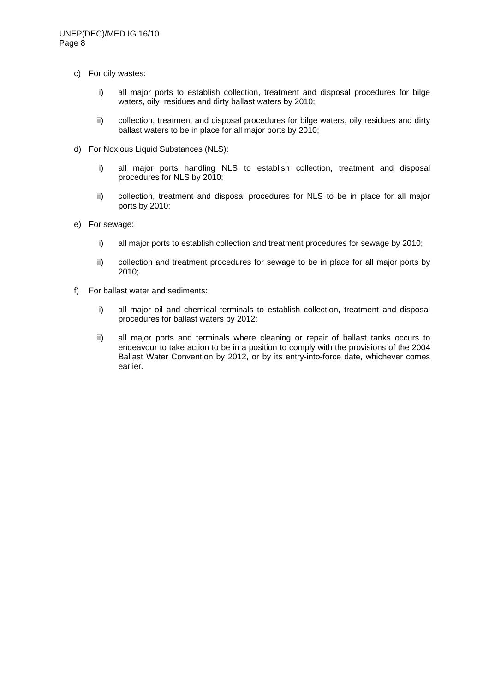- c) For oily wastes:
	- i) all major ports to establish collection, treatment and disposal procedures for bilge waters, oily residues and dirty ballast waters by 2010;
	- ii) collection, treatment and disposal procedures for bilge waters, oily residues and dirty ballast waters to be in place for all major ports by 2010;
- d) For Noxious Liquid Substances (NLS):
	- i) all major ports handling NLS to establish collection, treatment and disposal procedures for NLS by 2010;
	- ii) collection, treatment and disposal procedures for NLS to be in place for all major ports by 2010;
- e) For sewage:
	- i) all major ports to establish collection and treatment procedures for sewage by 2010;
	- ii) collection and treatment procedures for sewage to be in place for all major ports by 2010;
- f) For ballast water and sediments:
	- i) all major oil and chemical terminals to establish collection, treatment and disposal procedures for ballast waters by 2012;
	- ii) all major ports and terminals where cleaning or repair of ballast tanks occurs to endeavour to take action to be in a position to comply with the provisions of the 2004 Ballast Water Convention by 2012, or by its entry-into-force date, whichever comes earlier.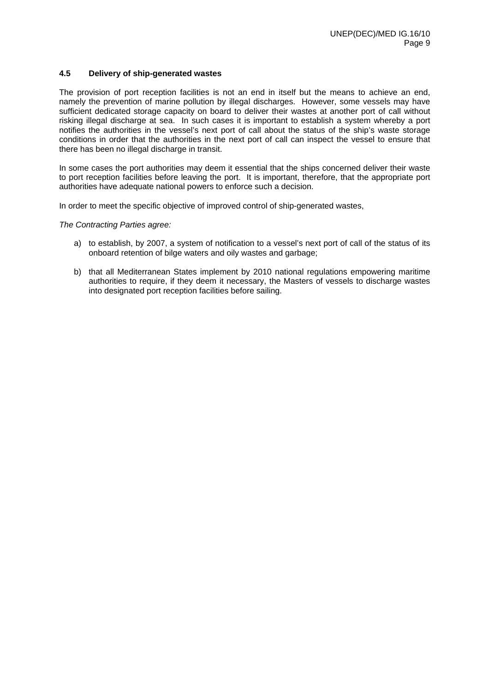### **4.5 Delivery of ship-generated wastes**

The provision of port reception facilities is not an end in itself but the means to achieve an end, namely the prevention of marine pollution by illegal discharges. However, some vessels may have sufficient dedicated storage capacity on board to deliver their wastes at another port of call without risking illegal discharge at sea. In such cases it is important to establish a system whereby a port notifies the authorities in the vessel's next port of call about the status of the ship's waste storage conditions in order that the authorities in the next port of call can inspect the vessel to ensure that there has been no illegal discharge in transit.

In some cases the port authorities may deem it essential that the ships concerned deliver their waste to port reception facilities before leaving the port. It is important, therefore, that the appropriate port authorities have adequate national powers to enforce such a decision.

In order to meet the specific objective of improved control of ship-generated wastes,

*The Contracting Parties agree:* 

- a) to establish, by 2007, a system of notification to a vessel's next port of call of the status of its onboard retention of bilge waters and oily wastes and garbage;
- b) that all Mediterranean States implement by 2010 national regulations empowering maritime authorities to require, if they deem it necessary, the Masters of vessels to discharge wastes into designated port reception facilities before sailing.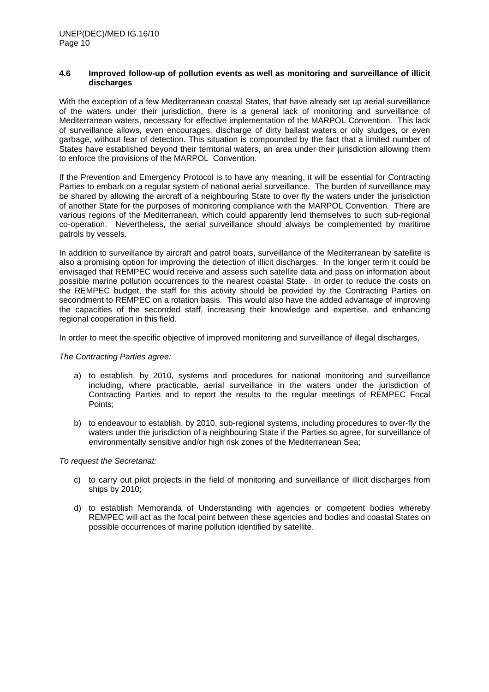#### **4.6 Improved follow-up of pollution events as well as monitoring and surveillance of illicit discharges**

With the exception of a few Mediterranean coastal States, that have already set up aerial surveillance of the waters under their jurisdiction, there is a general lack of monitoring and surveillance of Mediterranean waters, necessary for effective implementation of the MARPOL Convention. This lack of surveillance allows, even encourages, discharge of dirty ballast waters or oily sludges, or even garbage, without fear of detection. This situation is compounded by the fact that a limited number of States have established beyond their territorial waters, an area under their jurisdiction allowing them to enforce the provisions of the MARPOL Convention.

If the Prevention and Emergency Protocol is to have any meaning, it will be essential for Contracting Parties to embark on a regular system of national aerial surveillance. The burden of surveillance may be shared by allowing the aircraft of a neighbouring State to over fly the waters under the jurisdiction of another State for the purposes of monitoring compliance with the MARPOL Convention. There are various regions of the Mediterranean, which could apparently lend themselves to such sub-regional co-operation. Nevertheless, the aerial surveillance should always be complemented by maritime patrols by vessels.

In addition to surveillance by aircraft and patrol boats, surveillance of the Mediterranean by satellite is also a promising option for improving the detection of illicit discharges. In the longer term it could be envisaged that REMPEC would receive and assess such satellite data and pass on information about possible marine pollution occurrences to the nearest coastal State. In order to reduce the costs on the REMPEC budget, the staff for this activity should be provided by the Contracting Parties on secondment to REMPEC on a rotation basis. This would also have the added advantage of improving the capacities of the seconded staff, increasing their knowledge and expertise, and enhancing regional cooperation in this field.

In order to meet the specific objective of improved monitoring and surveillance of illegal discharges,

### *The Contracting Parties agree:*

- a) to establish, by 2010, systems and procedures for national monitoring and surveillance including, where practicable, aerial surveillance in the waters under the jurisdiction of Contracting Parties and to report the results to the regular meetings of REMPEC Focal Points;
- b) to endeavour to establish, by 2010, sub-regional systems, including procedures to over-fly the waters under the jurisdiction of a neighbouring State if the Parties so agree, for surveillance of environmentally sensitive and/or high risk zones of the Mediterranean Sea;

- c) to carry out pilot projects in the field of monitoring and surveillance of illicit discharges from ships by 2010;
- d) to establish Memoranda of Understanding with agencies or competent bodies whereby REMPEC will act as the focal point between these agencies and bodies and coastal States on possible occurrences of marine pollution identified by satellite.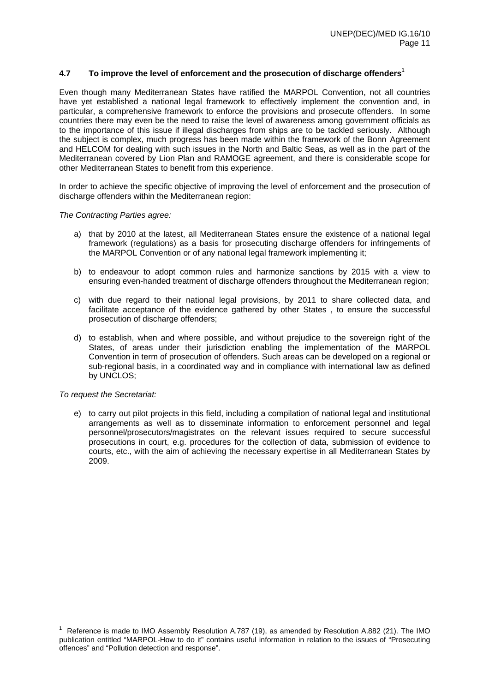### **4.7 To improve the level of enforcement and the prosecution of discharge offenders1**

Even though many Mediterranean States have ratified the MARPOL Convention, not all countries have yet established a national legal framework to effectively implement the convention and, in particular, a comprehensive framework to enforce the provisions and prosecute offenders. In some countries there may even be the need to raise the level of awareness among government officials as to the importance of this issue if illegal discharges from ships are to be tackled seriously. Although the subject is complex, much progress has been made within the framework of the Bonn Agreement and HELCOM for dealing with such issues in the North and Baltic Seas, as well as in the part of the Mediterranean covered by Lion Plan and RAMOGE agreement, and there is considerable scope for other Mediterranean States to benefit from this experience.

In order to achieve the specific objective of improving the level of enforcement and the prosecution of discharge offenders within the Mediterranean region:

### *The Contracting Parties agree:*

- a) that by 2010 at the latest, all Mediterranean States ensure the existence of a national legal framework (regulations) as a basis for prosecuting discharge offenders for infringements of the MARPOL Convention or of any national legal framework implementing it;
- b) to endeavour to adopt common rules and harmonize sanctions by 2015 with a view to ensuring even-handed treatment of discharge offenders throughout the Mediterranean region;
- c) with due regard to their national legal provisions, by 2011 to share collected data, and facilitate acceptance of the evidence gathered by other States , to ensure the successful prosecution of discharge offenders;
- d) to establish, when and where possible, and without prejudice to the sovereign right of the States, of areas under their jurisdiction enabling the implementation of the MARPOL Convention in term of prosecution of offenders. Such areas can be developed on a regional or sub-regional basis, in a coordinated way and in compliance with international law as defined by UNCLOS:

### *To request the Secretariat:*

e) to carry out pilot projects in this field, including a compilation of national legal and institutional arrangements as well as to disseminate information to enforcement personnel and legal personnel/prosecutors/magistrates on the relevant issues required to secure successful prosecutions in court, e.g. procedures for the collection of data, submission of evidence to courts, etc., with the aim of achieving the necessary expertise in all Mediterranean States by 2009.

 1 Reference is made to IMO Assembly Resolution A.787 (19), as amended by Resolution A.882 (21). The IMO publication entitled "MARPOL-How to do it" contains useful information in relation to the issues of "Prosecuting offences" and "Pollution detection and response".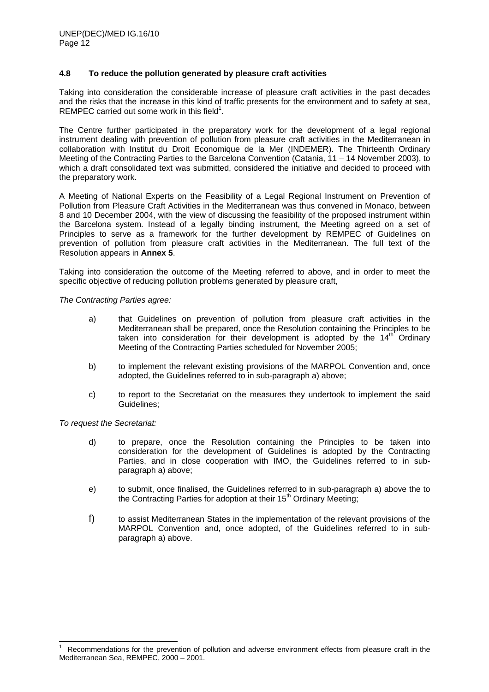### **4.8 To reduce the pollution generated by pleasure craft activities**

Taking into consideration the considerable increase of pleasure craft activities in the past decades and the risks that the increase in this kind of traffic presents for the environment and to safety at sea, REMPEC carried out some work in this field<sup>1</sup>.

The Centre further participated in the preparatory work for the development of a legal regional instrument dealing with prevention of pollution from pleasure craft activities in the Mediterranean in collaboration with Institut du Droit Economique de la Mer (INDEMER). The Thirteenth Ordinary Meeting of the Contracting Parties to the Barcelona Convention (Catania, 11 – 14 November 2003), to which a draft consolidated text was submitted, considered the initiative and decided to proceed with the preparatory work.

A Meeting of National Experts on the Feasibility of a Legal Regional Instrument on Prevention of Pollution from Pleasure Craft Activities in the Mediterranean was thus convened in Monaco, between 8 and 10 December 2004, with the view of discussing the feasibility of the proposed instrument within the Barcelona system. Instead of a legally binding instrument, the Meeting agreed on a set of Principles to serve as a framework for the further development by REMPEC of Guidelines on prevention of pollution from pleasure craft activities in the Mediterranean. The full text of the Resolution appears in **Annex 5**.

Taking into consideration the outcome of the Meeting referred to above, and in order to meet the specific objective of reducing pollution problems generated by pleasure craft,

*The Contracting Parties agree:* 

- a) that Guidelines on prevention of pollution from pleasure craft activities in the Mediterranean shall be prepared, once the Resolution containing the Principles to be taken into consideration for their development is adopted by the  $14<sup>th</sup>$  Ordinary Meeting of the Contracting Parties scheduled for November 2005;
- b) to implement the relevant existing provisions of the MARPOL Convention and, once adopted, the Guidelines referred to in sub-paragraph a) above;
- c) to report to the Secretariat on the measures they undertook to implement the said Guidelines;

- d) to prepare, once the Resolution containing the Principles to be taken into consideration for the development of Guidelines is adopted by the Contracting Parties, and in close cooperation with IMO, the Guidelines referred to in subparagraph a) above;
- e) to submit, once finalised, the Guidelines referred to in sub-paragraph a) above the to the Contracting Parties for adoption at their  $15<sup>th</sup>$  Ordinary Meeting;
- f) to assist Mediterranean States in the implementation of the relevant provisions of the MARPOL Convention and, once adopted, of the Guidelines referred to in subparagraph a) above.

 $\overline{a}$ 1 Recommendations for the prevention of pollution and adverse environment effects from pleasure craft in the Mediterranean Sea, REMPEC, 2000 – 2001.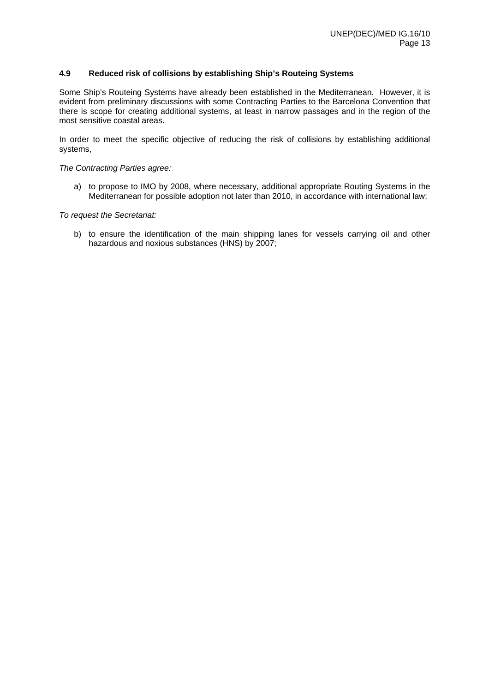### **4.9 Reduced risk of collisions by establishing Ship's Routeing Systems**

Some Ship's Routeing Systems have already been established in the Mediterranean. However, it is evident from preliminary discussions with some Contracting Parties to the Barcelona Convention that there is scope for creating additional systems, at least in narrow passages and in the region of the most sensitive coastal areas.

In order to meet the specific objective of reducing the risk of collisions by establishing additional systems,

#### *The Contracting Parties agree:*

a) to propose to IMO by 2008, where necessary, additional appropriate Routing Systems in the Mediterranean for possible adoption not later than 2010, in accordance with international law;

*To request the Secretariat:* 

b) to ensure the identification of the main shipping lanes for vessels carrying oil and other hazardous and noxious substances (HNS) by 2007;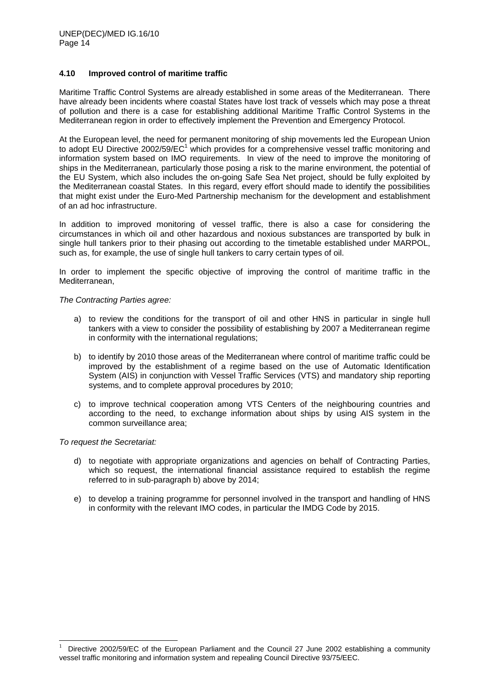### **4.10 Improved control of maritime traffic**

Maritime Traffic Control Systems are already established in some areas of the Mediterranean. There have already been incidents where coastal States have lost track of vessels which may pose a threat of pollution and there is a case for establishing additional Maritime Traffic Control Systems in the Mediterranean region in order to effectively implement the Prevention and Emergency Protocol.

At the European level, the need for permanent monitoring of ship movements led the European Union to adopt EU Directive 2002/59/EC<sup>1</sup> which provides for a comprehensive vessel traffic monitoring and information system based on IMO requirements. In view of the need to improve the monitoring of ships in the Mediterranean, particularly those posing a risk to the marine environment, the potential of the EU System, which also includes the on-going Safe Sea Net project, should be fully exploited by the Mediterranean coastal States. In this regard, every effort should made to identify the possibilities that might exist under the Euro-Med Partnership mechanism for the development and establishment of an ad hoc infrastructure.

In addition to improved monitoring of vessel traffic, there is also a case for considering the circumstances in which oil and other hazardous and noxious substances are transported by bulk in single hull tankers prior to their phasing out according to the timetable established under MARPOL, such as, for example, the use of single hull tankers to carry certain types of oil.

In order to implement the specific objective of improving the control of maritime traffic in the Mediterranean,

### *The Contracting Parties agree:*

- a) to review the conditions for the transport of oil and other HNS in particular in single hull tankers with a view to consider the possibility of establishing by 2007 a Mediterranean regime in conformity with the international regulations;
- b) to identify by 2010 those areas of the Mediterranean where control of maritime traffic could be improved by the establishment of a regime based on the use of Automatic Identification System (AIS) in conjunction with Vessel Traffic Services (VTS) and mandatory ship reporting systems, and to complete approval procedures by 2010;
- c) to improve technical cooperation among VTS Centers of the neighbouring countries and according to the need, to exchange information about ships by using AIS system in the common surveillance area;

### *To request the Secretariat:*

l

- d) to negotiate with appropriate organizations and agencies on behalf of Contracting Parties, which so request, the international financial assistance required to establish the regime referred to in sub-paragraph b) above by 2014;
- e) to develop a training programme for personnel involved in the transport and handling of HNS in conformity with the relevant IMO codes, in particular the IMDG Code by 2015.

<sup>1</sup> Directive 2002/59/EC of the European Parliament and the Council 27 June 2002 establishing a community vessel traffic monitoring and information system and repealing Council Directive 93/75/EEC.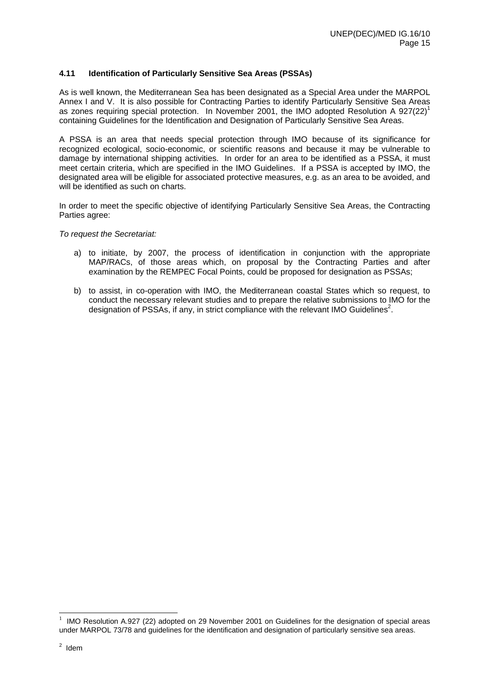### **4.11 Identification of Particularly Sensitive Sea Areas (PSSAs)**

As is well known, the Mediterranean Sea has been designated as a Special Area under the MARPOL Annex I and V. It is also possible for Contracting Parties to identify Particularly Sensitive Sea Areas as zones requiring special protection. In November 2001, the IMO adopted Resolution A  $927(22)^1$ containing Guidelines for the Identification and Designation of Particularly Sensitive Sea Areas.

A PSSA is an area that needs special protection through IMO because of its significance for recognized ecological, socio-economic, or scientific reasons and because it may be vulnerable to damage by international shipping activities. In order for an area to be identified as a PSSA, it must meet certain criteria, which are specified in the IMO Guidelines. If a PSSA is accepted by IMO, the designated area will be eligible for associated protective measures, e.g. as an area to be avoided, and will be identified as such on charts.

In order to meet the specific objective of identifying Particularly Sensitive Sea Areas, the Contracting Parties agree:

*To request the Secretariat:* 

- a) to initiate, by 2007, the process of identification in conjunction with the appropriate MAP/RACs, of those areas which, on proposal by the Contracting Parties and after examination by the REMPEC Focal Points, could be proposed for designation as PSSAs;
- b) to assist, in co-operation with IMO, the Mediterranean coastal States which so request, to conduct the necessary relevant studies and to prepare the relative submissions to IMO for the designation of PSSAs, if any, in strict compliance with the relevant IMO Guidelines<sup>2</sup>.

l

<sup>1</sup> IMO Resolution A.927 (22) adopted on 29 November 2001 on Guidelines for the designation of special areas under MARPOL 73/78 and guidelines for the identification and designation of particularly sensitive sea areas.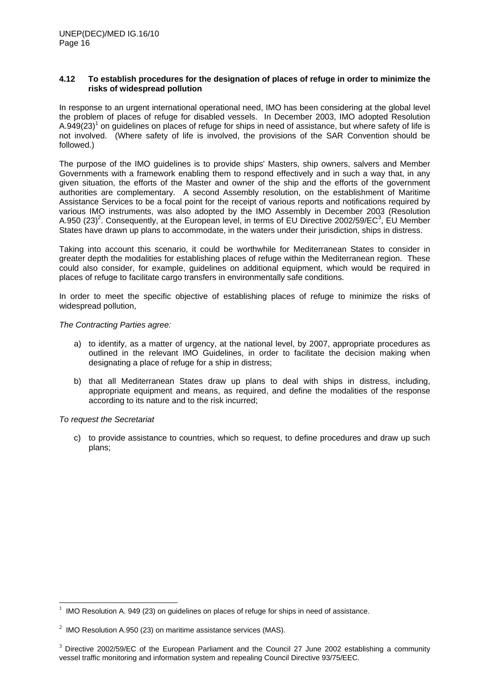### **4.12 To establish procedures for the designation of places of refuge in order to minimize the risks of widespread pollution**

In response to an urgent international operational need, IMO has been considering at the global level the problem of places of refuge for disabled vessels. In December 2003, IMO adopted Resolution A.949(23)<sup>1</sup> on guidelines on places of refuge for ships in need of assistance, but where safety of life is not involved. (Where safety of life is involved, the provisions of the SAR Convention should be followed.)

The purpose of the IMO guidelines is to provide ships' Masters, ship owners, salvers and Member Governments with a framework enabling them to respond effectively and in such a way that, in any given situation, the efforts of the Master and owner of the ship and the efforts of the government authorities are complementary. A second Assembly resolution, on the establishment of Maritime Assistance Services to be a focal point for the receipt of various reports and notifications required by various IMO instruments, was also adopted by the IMO Assembly in December 2003 (Resolution A.950 (23)<sup>2</sup>. Consequently, at the European level, in terms of EU Directive 2002/59/EC<sup>3</sup>, EU Member States have drawn up plans to accommodate, in the waters under their jurisdiction, ships in distress.

Taking into account this scenario, it could be worthwhile for Mediterranean States to consider in greater depth the modalities for establishing places of refuge within the Mediterranean region. These could also consider, for example, guidelines on additional equipment, which would be required in places of refuge to facilitate cargo transfers in environmentally safe conditions.

In order to meet the specific objective of establishing places of refuge to minimize the risks of widespread pollution,

### *The Contracting Parties agree:*

- a) to identify, as a matter of urgency, at the national level, by 2007, appropriate procedures as outlined in the relevant IMO Guidelines, in order to facilitate the decision making when designating a place of refuge for a ship in distress;
- b) that all Mediterranean States draw up plans to deal with ships in distress, including, appropriate equipment and means, as required, and define the modalities of the response according to its nature and to the risk incurred;

### *To request the Secretariat*

l

c) to provide assistance to countries, which so request, to define procedures and draw up such plans;

<sup>1</sup> IMO Resolution A. 949 (23) on guidelines on places of refuge for ships in need of assistance.

<sup>&</sup>lt;sup>2</sup> IMO Resolution A.950 (23) on maritime assistance services (MAS).

<sup>&</sup>lt;sup>3</sup> Directive 2002/59/EC of the European Parliament and the Council 27 June 2002 establishing a community vessel traffic monitoring and information system and repealing Council Directive 93/75/EEC.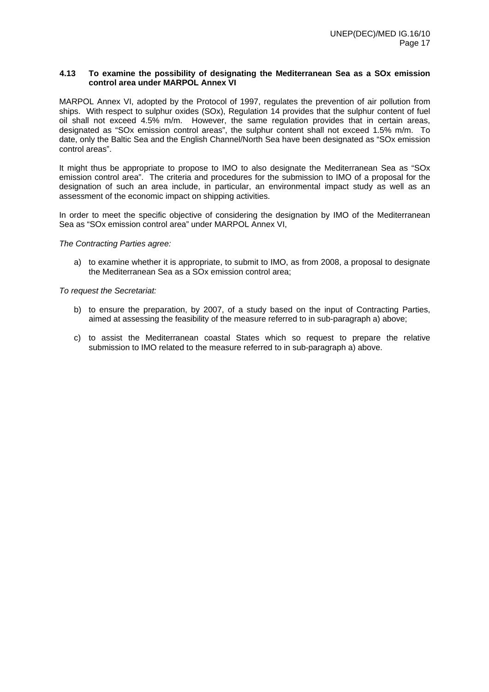#### **4.13 To examine the possibility of designating the Mediterranean Sea as a SOx emission control area under MARPOL Annex VI**

MARPOL Annex VI, adopted by the Protocol of 1997, regulates the prevention of air pollution from ships. With respect to sulphur oxides (SOx), Regulation 14 provides that the sulphur content of fuel oil shall not exceed 4.5% m/m. However, the same regulation provides that in certain areas, designated as "SOx emission control areas", the sulphur content shall not exceed 1.5% m/m. To date, only the Baltic Sea and the English Channel/North Sea have been designated as "SOx emission control areas".

It might thus be appropriate to propose to IMO to also designate the Mediterranean Sea as "SOx emission control area". The criteria and procedures for the submission to IMO of a proposal for the designation of such an area include, in particular, an environmental impact study as well as an assessment of the economic impact on shipping activities.

 In order to meet the specific objective of considering the designation by IMO of the Mediterranean Sea as "SOx emission control area" under MARPOL Annex VI,

*The Contracting Parties agree:* 

a) to examine whether it is appropriate, to submit to IMO, as from 2008, a proposal to designate the Mediterranean Sea as a SOx emission control area;

- b) to ensure the preparation, by 2007, of a study based on the input of Contracting Parties, aimed at assessing the feasibility of the measure referred to in sub-paragraph a) above;
- c) to assist the Mediterranean coastal States which so request to prepare the relative submission to IMO related to the measure referred to in sub-paragraph a) above.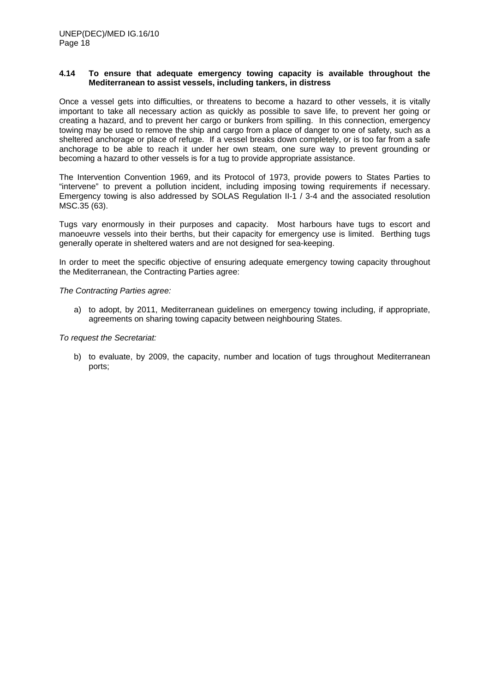#### **4.14 To ensure that adequate emergency towing capacity is available throughout the Mediterranean to assist vessels, including tankers, in distress**

Once a vessel gets into difficulties, or threatens to become a hazard to other vessels, it is vitally important to take all necessary action as quickly as possible to save life, to prevent her going or creating a hazard, and to prevent her cargo or bunkers from spilling. In this connection, emergency towing may be used to remove the ship and cargo from a place of danger to one of safety, such as a sheltered anchorage or place of refuge. If a vessel breaks down completely, or is too far from a safe anchorage to be able to reach it under her own steam, one sure way to prevent grounding or becoming a hazard to other vessels is for a tug to provide appropriate assistance.

The Intervention Convention 1969, and its Protocol of 1973, provide powers to States Parties to "intervene" to prevent a pollution incident, including imposing towing requirements if necessary. Emergency towing is also addressed by SOLAS Regulation II-1 / 3-4 and the associated resolution MSC.35 (63).

Tugs vary enormously in their purposes and capacity. Most harbours have tugs to escort and manoeuvre vessels into their berths, but their capacity for emergency use is limited. Berthing tugs generally operate in sheltered waters and are not designed for sea-keeping.

In order to meet the specific objective of ensuring adequate emergency towing capacity throughout the Mediterranean, the Contracting Parties agree:

*The Contracting Parties agree:* 

a) to adopt, by 2011, Mediterranean guidelines on emergency towing including, if appropriate, agreements on sharing towing capacity between neighbouring States.

*To request the Secretariat:* 

b) to evaluate, by 2009, the capacity, number and location of tugs throughout Mediterranean ports;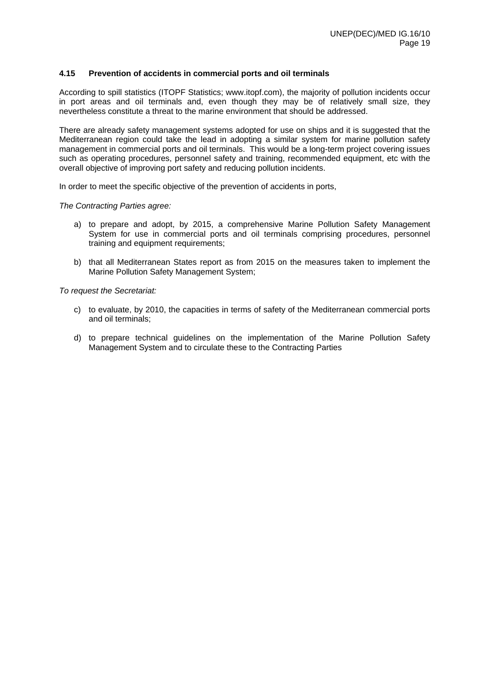### **4.15 Prevention of accidents in commercial ports and oil terminals**

According to spill statistics (ITOPF Statistics; www.itopf.com), the majority of pollution incidents occur in port areas and oil terminals and, even though they may be of relatively small size, they nevertheless constitute a threat to the marine environment that should be addressed.

There are already safety management systems adopted for use on ships and it is suggested that the Mediterranean region could take the lead in adopting a similar system for marine pollution safety management in commercial ports and oil terminals. This would be a long-term project covering issues such as operating procedures, personnel safety and training, recommended equipment, etc with the overall objective of improving port safety and reducing pollution incidents.

In order to meet the specific objective of the prevention of accidents in ports,

### *The Contracting Parties agree:*

- a) to prepare and adopt, by 2015, a comprehensive Marine Pollution Safety Management System for use in commercial ports and oil terminals comprising procedures, personnel training and equipment requirements;
- b) that all Mediterranean States report as from 2015 on the measures taken to implement the Marine Pollution Safety Management System;

- c) to evaluate, by 2010, the capacities in terms of safety of the Mediterranean commercial ports and oil terminals;
- d) to prepare technical guidelines on the implementation of the Marine Pollution Safety Management System and to circulate these to the Contracting Parties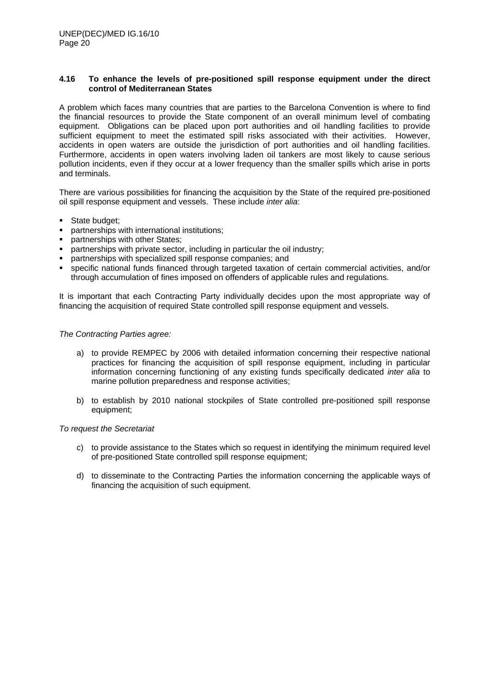### **4.16 To enhance the levels of pre-positioned spill response equipment under the direct control of Mediterranean States**

A problem which faces many countries that are parties to the Barcelona Convention is where to find the financial resources to provide the State component of an overall minimum level of combating equipment. Obligations can be placed upon port authorities and oil handling facilities to provide sufficient equipment to meet the estimated spill risks associated with their activities. However, accidents in open waters are outside the jurisdiction of port authorities and oil handling facilities. Furthermore, accidents in open waters involving laden oil tankers are most likely to cause serious pollution incidents, even if they occur at a lower frequency than the smaller spills which arise in ports and terminals.

There are various possibilities for financing the acquisition by the State of the required pre-positioned oil spill response equipment and vessels. These include *inter alia*:

- **State budget;**
- partnerships with international institutions;
- partnerships with other States;
- partnerships with private sector, including in particular the oil industry;
- partnerships with specialized spill response companies; and
- specific national funds financed through targeted taxation of certain commercial activities, and/or through accumulation of fines imposed on offenders of applicable rules and regulations.

It is important that each Contracting Party individually decides upon the most appropriate way of financing the acquisition of required State controlled spill response equipment and vessels.

### *The Contracting Parties agree:*

- a) to provide REMPEC by 2006 with detailed information concerning their respective national practices for financing the acquisition of spill response equipment, including in particular information concerning functioning of any existing funds specifically dedicated *inter alia* to marine pollution preparedness and response activities;
- b) to establish by 2010 national stockpiles of State controlled pre-positioned spill response equipment;

- c) to provide assistance to the States which so request in identifying the minimum required level of pre-positioned State controlled spill response equipment;
- d) to disseminate to the Contracting Parties the information concerning the applicable ways of financing the acquisition of such equipment.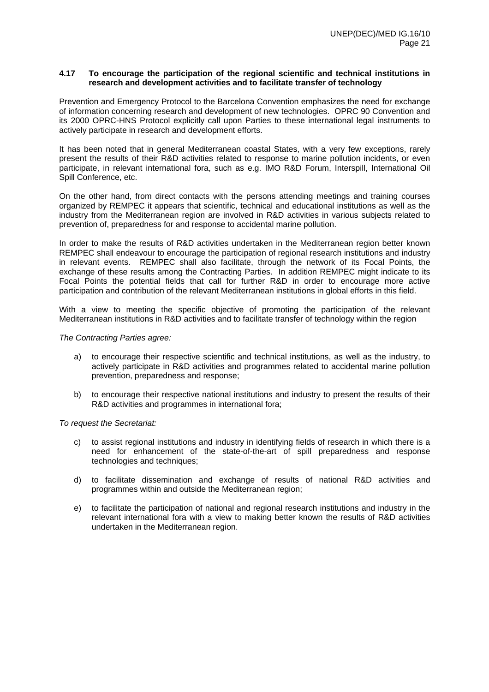### **4.17 To encourage the participation of the regional scientific and technical institutions in research and development activities and to facilitate transfer of technology**

Prevention and Emergency Protocol to the Barcelona Convention emphasizes the need for exchange of information concerning research and development of new technologies. OPRC 90 Convention and its 2000 OPRC-HNS Protocol explicitly call upon Parties to these international legal instruments to actively participate in research and development efforts.

It has been noted that in general Mediterranean coastal States, with a very few exceptions, rarely present the results of their R&D activities related to response to marine pollution incidents, or even participate, in relevant international fora, such as e.g. IMO R&D Forum, Interspill, International Oil Spill Conference, etc.

On the other hand, from direct contacts with the persons attending meetings and training courses organized by REMPEC it appears that scientific, technical and educational institutions as well as the industry from the Mediterranean region are involved in R&D activities in various subjects related to prevention of, preparedness for and response to accidental marine pollution.

In order to make the results of R&D activities undertaken in the Mediterranean region better known REMPEC shall endeavour to encourage the participation of regional research institutions and industry in relevant events. REMPEC shall also facilitate, through the network of its Focal Points, the exchange of these results among the Contracting Parties. In addition REMPEC might indicate to its Focal Points the potential fields that call for further R&D in order to encourage more active participation and contribution of the relevant Mediterranean institutions in global efforts in this field.

With a view to meeting the specific objective of promoting the participation of the relevant Mediterranean institutions in R&D activities and to facilitate transfer of technology within the region

*The Contracting Parties agree:* 

- a) to encourage their respective scientific and technical institutions, as well as the industry, to actively participate in R&D activities and programmes related to accidental marine pollution prevention, preparedness and response;
- b) to encourage their respective national institutions and industry to present the results of their R&D activities and programmes in international fora;

- c) to assist regional institutions and industry in identifying fields of research in which there is a need for enhancement of the state-of-the-art of spill preparedness and response technologies and techniques;
- d) to facilitate dissemination and exchange of results of national R&D activities and programmes within and outside the Mediterranean region;
- e) to facilitate the participation of national and regional research institutions and industry in the relevant international fora with a view to making better known the results of R&D activities undertaken in the Mediterranean region.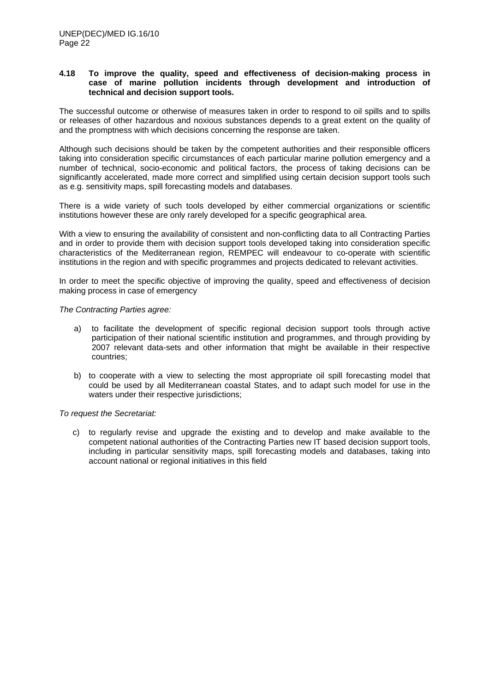### **4.18 To improve the quality, speed and effectiveness of decision-making process in case of marine pollution incidents through development and introduction of technical and decision support tools.**

The successful outcome or otherwise of measures taken in order to respond to oil spills and to spills or releases of other hazardous and noxious substances depends to a great extent on the quality of and the promptness with which decisions concerning the response are taken.

Although such decisions should be taken by the competent authorities and their responsible officers taking into consideration specific circumstances of each particular marine pollution emergency and a number of technical, socio-economic and political factors, the process of taking decisions can be significantly accelerated, made more correct and simplified using certain decision support tools such as e.g. sensitivity maps, spill forecasting models and databases.

There is a wide variety of such tools developed by either commercial organizations or scientific institutions however these are only rarely developed for a specific geographical area.

With a view to ensuring the availability of consistent and non-conflicting data to all Contracting Parties and in order to provide them with decision support tools developed taking into consideration specific characteristics of the Mediterranean region, REMPEC will endeavour to co-operate with scientific institutions in the region and with specific programmes and projects dedicated to relevant activities.

In order to meet the specific objective of improving the quality, speed and effectiveness of decision making process in case of emergency

*The Contracting Parties agree:* 

- a) to facilitate the development of specific regional decision support tools through active participation of their national scientific institution and programmes, and through providing by 2007 relevant data-sets and other information that might be available in their respective countries;
- b) to cooperate with a view to selecting the most appropriate oil spill forecasting model that could be used by all Mediterranean coastal States, and to adapt such model for use in the waters under their respective jurisdictions;

*To request the Secretariat:* 

c) to regularly revise and upgrade the existing and to develop and make available to the competent national authorities of the Contracting Parties new IT based decision support tools, including in particular sensitivity maps, spill forecasting models and databases, taking into account national or regional initiatives in this field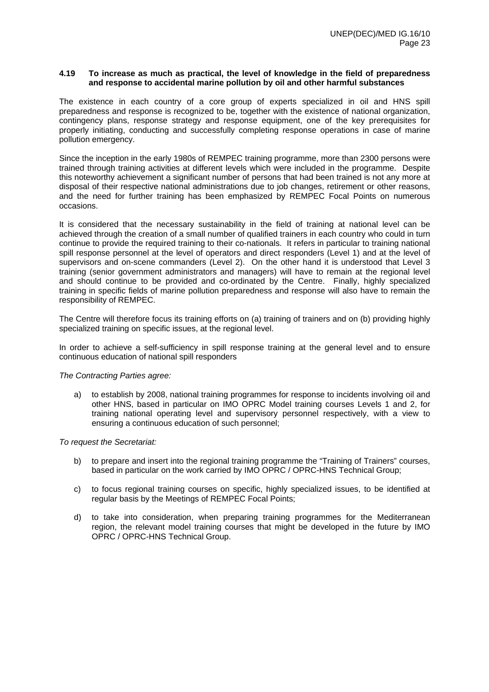#### **4.19 To increase as much as practical, the level of knowledge in the field of preparedness and response to accidental marine pollution by oil and other harmful substances**

The existence in each country of a core group of experts specialized in oil and HNS spill preparedness and response is recognized to be, together with the existence of national organization, contingency plans, response strategy and response equipment, one of the key prerequisites for properly initiating, conducting and successfully completing response operations in case of marine pollution emergency.

Since the inception in the early 1980s of REMPEC training programme, more than 2300 persons were trained through training activities at different levels which were included in the programme. Despite this noteworthy achievement a significant number of persons that had been trained is not any more at disposal of their respective national administrations due to job changes, retirement or other reasons, and the need for further training has been emphasized by REMPEC Focal Points on numerous occasions.

It is considered that the necessary sustainability in the field of training at national level can be achieved through the creation of a small number of qualified trainers in each country who could in turn continue to provide the required training to their co-nationals. It refers in particular to training national spill response personnel at the level of operators and direct responders (Level 1) and at the level of supervisors and on-scene commanders (Level 2). On the other hand it is understood that Level 3 training (senior government administrators and managers) will have to remain at the regional level and should continue to be provided and co-ordinated by the Centre. Finally, highly specialized training in specific fields of marine pollution preparedness and response will also have to remain the responsibility of REMPEC.

The Centre will therefore focus its training efforts on (a) training of trainers and on (b) providing highly specialized training on specific issues, at the regional level.

In order to achieve a self-sufficiency in spill response training at the general level and to ensure continuous education of national spill responders

*The Contracting Parties agree:* 

a) to establish by 2008, national training programmes for response to incidents involving oil and other HNS, based in particular on IMO OPRC Model training courses Levels 1 and 2, for training national operating level and supervisory personnel respectively, with a view to ensuring a continuous education of such personnel;

- b) to prepare and insert into the regional training programme the "Training of Trainers" courses, based in particular on the work carried by IMO OPRC / OPRC-HNS Technical Group;
- c) to focus regional training courses on specific, highly specialized issues, to be identified at regular basis by the Meetings of REMPEC Focal Points;
- d) to take into consideration, when preparing training programmes for the Mediterranean region, the relevant model training courses that might be developed in the future by IMO OPRC / OPRC-HNS Technical Group.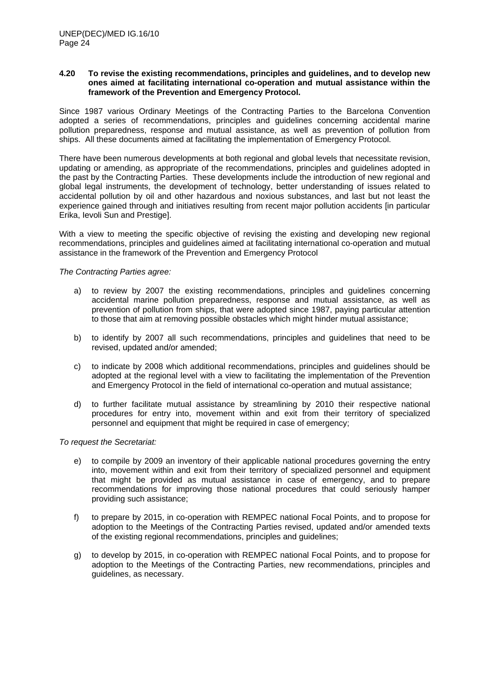#### **4.20 To revise the existing recommendations, principles and guidelines, and to develop new ones aimed at facilitating international co-operation and mutual assistance within the framework of the Prevention and Emergency Protocol.**

Since 1987 various Ordinary Meetings of the Contracting Parties to the Barcelona Convention adopted a series of recommendations, principles and guidelines concerning accidental marine pollution preparedness, response and mutual assistance, as well as prevention of pollution from ships. All these documents aimed at facilitating the implementation of Emergency Protocol.

There have been numerous developments at both regional and global levels that necessitate revision, updating or amending, as appropriate of the recommendations, principles and guidelines adopted in the past by the Contracting Parties. These developments include the introduction of new regional and global legal instruments, the development of technology, better understanding of issues related to accidental pollution by oil and other hazardous and noxious substances, and last but not least the experience gained through and initiatives resulting from recent major pollution accidents [in particular Erika, Ievoli Sun and Prestige].

With a view to meeting the specific objective of revising the existing and developing new regional recommendations, principles and guidelines aimed at facilitating international co-operation and mutual assistance in the framework of the Prevention and Emergency Protocol

### *The Contracting Parties agree:*

- a) to review by 2007 the existing recommendations, principles and guidelines concerning accidental marine pollution preparedness, response and mutual assistance, as well as prevention of pollution from ships, that were adopted since 1987, paying particular attention to those that aim at removing possible obstacles which might hinder mutual assistance;
- b) to identify by 2007 all such recommendations, principles and guidelines that need to be revised, updated and/or amended;
- c) to indicate by 2008 which additional recommendations, principles and guidelines should be adopted at the regional level with a view to facilitating the implementation of the Prevention and Emergency Protocol in the field of international co-operation and mutual assistance;
- d) to further facilitate mutual assistance by streamlining by 2010 their respective national procedures for entry into, movement within and exit from their territory of specialized personnel and equipment that might be required in case of emergency;

- e) to compile by 2009 an inventory of their applicable national procedures governing the entry into, movement within and exit from their territory of specialized personnel and equipment that might be provided as mutual assistance in case of emergency, and to prepare recommendations for improving those national procedures that could seriously hamper providing such assistance;
- f) to prepare by 2015, in co-operation with REMPEC national Focal Points, and to propose for adoption to the Meetings of the Contracting Parties revised, updated and/or amended texts of the existing regional recommendations, principles and guidelines;
- g) to develop by 2015, in co-operation with REMPEC national Focal Points, and to propose for adoption to the Meetings of the Contracting Parties, new recommendations, principles and guidelines, as necessary.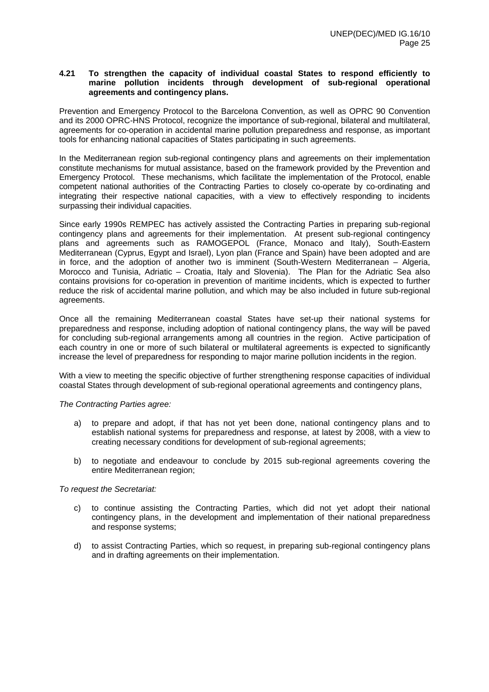#### **4.21 To strengthen the capacity of individual coastal States to respond efficiently to marine pollution incidents through development of sub-regional operational agreements and contingency plans.**

Prevention and Emergency Protocol to the Barcelona Convention, as well as OPRC 90 Convention and its 2000 OPRC-HNS Protocol, recognize the importance of sub-regional, bilateral and multilateral, agreements for co-operation in accidental marine pollution preparedness and response, as important tools for enhancing national capacities of States participating in such agreements.

In the Mediterranean region sub-regional contingency plans and agreements on their implementation constitute mechanisms for mutual assistance, based on the framework provided by the Prevention and Emergency Protocol. These mechanisms, which facilitate the implementation of the Protocol, enable competent national authorities of the Contracting Parties to closely co-operate by co-ordinating and integrating their respective national capacities, with a view to effectively responding to incidents surpassing their individual capacities.

Since early 1990s REMPEC has actively assisted the Contracting Parties in preparing sub-regional contingency plans and agreements for their implementation. At present sub-regional contingency plans and agreements such as RAMOGEPOL (France, Monaco and Italy), South-Eastern Mediterranean (Cyprus, Egypt and Israel), Lyon plan (France and Spain) have been adopted and are in force, and the adoption of another two is imminent (South-Western Mediterranean – Algeria, Morocco and Tunisia, Adriatic – Croatia, Italy and Slovenia). The Plan for the Adriatic Sea also contains provisions for co-operation in prevention of maritime incidents, which is expected to further reduce the risk of accidental marine pollution, and which may be also included in future sub-regional agreements.

Once all the remaining Mediterranean coastal States have set-up their national systems for preparedness and response, including adoption of national contingency plans, the way will be paved for concluding sub-regional arrangements among all countries in the region. Active participation of each country in one or more of such bilateral or multilateral agreements is expected to significantly increase the level of preparedness for responding to major marine pollution incidents in the region.

With a view to meeting the specific objective of further strengthening response capacities of individual coastal States through development of sub-regional operational agreements and contingency plans,

### *The Contracting Parties agree:*

- a) to prepare and adopt, if that has not yet been done, national contingency plans and to establish national systems for preparedness and response, at latest by 2008, with a view to creating necessary conditions for development of sub-regional agreements;
- b) to negotiate and endeavour to conclude by 2015 sub-regional agreements covering the entire Mediterranean region;

- c) to continue assisting the Contracting Parties, which did not yet adopt their national contingency plans, in the development and implementation of their national preparedness and response systems;
- d) to assist Contracting Parties, which so request, in preparing sub-regional contingency plans and in drafting agreements on their implementation.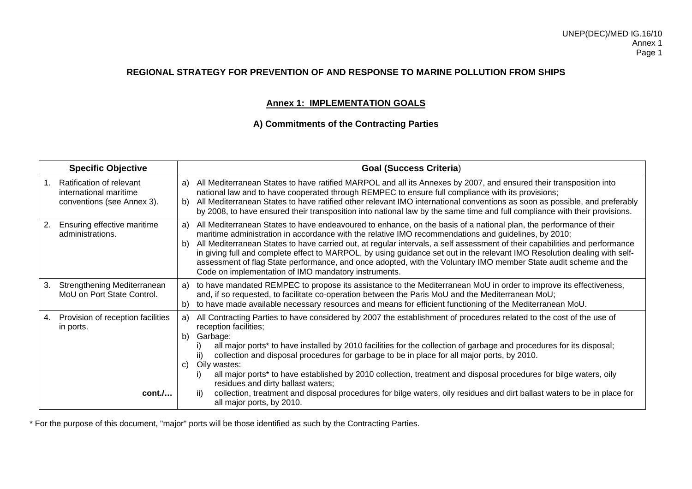### **Annex 1: IMPLEMENTATION GOALS**

### **A) Commitments of the Contracting Parties**

|    | <b>Specific Objective</b>                                                               |                | <b>Goal (Success Criteria)</b>                                                                                                                                                                                                                                                                                                                                                                                                                                                                                                                                                                                                                                     |
|----|-----------------------------------------------------------------------------------------|----------------|--------------------------------------------------------------------------------------------------------------------------------------------------------------------------------------------------------------------------------------------------------------------------------------------------------------------------------------------------------------------------------------------------------------------------------------------------------------------------------------------------------------------------------------------------------------------------------------------------------------------------------------------------------------------|
|    | <b>Ratification of relevant</b><br>international maritime<br>conventions (see Annex 3). | a)<br>b)       | All Mediterranean States to have ratified MARPOL and all its Annexes by 2007, and ensured their transposition into<br>national law and to have cooperated through REMPEC to ensure full compliance with its provisions;<br>All Mediterranean States to have ratified other relevant IMO international conventions as soon as possible, and preferably<br>by 2008, to have ensured their transposition into national law by the same time and full compliance with their provisions.                                                                                                                                                                                |
| 2. | Ensuring effective maritime<br>administrations.                                         | a)<br>b)       | All Mediterranean States to have endeavoured to enhance, on the basis of a national plan, the performance of their<br>maritime administration in accordance with the relative IMO recommendations and guidelines, by 2010;<br>All Mediterranean States to have carried out, at regular intervals, a self assessment of their capabilities and performance<br>in giving full and complete effect to MARPOL, by using guidance set out in the relevant IMO Resolution dealing with self-<br>assessment of flag State performance, and once adopted, with the Voluntary IMO member State audit scheme and the<br>Code on implementation of IMO mandatory instruments. |
| 3. | Strengthening Mediterranean<br>MoU on Port State Control.                               | a)<br>b)       | to have mandated REMPEC to propose its assistance to the Mediterranean MoU in order to improve its effectiveness,<br>and, if so requested, to facilitate co-operation between the Paris MoU and the Mediterranean MoU;<br>to have made available necessary resources and means for efficient functioning of the Mediterranean MoU.                                                                                                                                                                                                                                                                                                                                 |
| 4. | Provision of reception facilities<br>in ports.                                          | a)<br>b)<br>C) | All Contracting Parties to have considered by 2007 the establishment of procedures related to the cost of the use of<br>reception facilities;<br>Garbage:<br>all major ports* to have installed by 2010 facilities for the collection of garbage and procedures for its disposal;<br>collection and disposal procedures for garbage to be in place for all major ports, by 2010.<br>ii)<br>Oily wastes:<br>all major ports* to have established by 2010 collection, treatment and disposal procedures for bilge waters, oily<br>residues and dirty ballast waters;                                                                                                 |
|    | cont.                                                                                   |                | collection, treatment and disposal procedures for bilge waters, oily residues and dirt ballast waters to be in place for<br>ii)<br>all major ports, by 2010.                                                                                                                                                                                                                                                                                                                                                                                                                                                                                                       |

\* For the purpose of this document, "major" ports will be those identified as such by the Contracting Parties.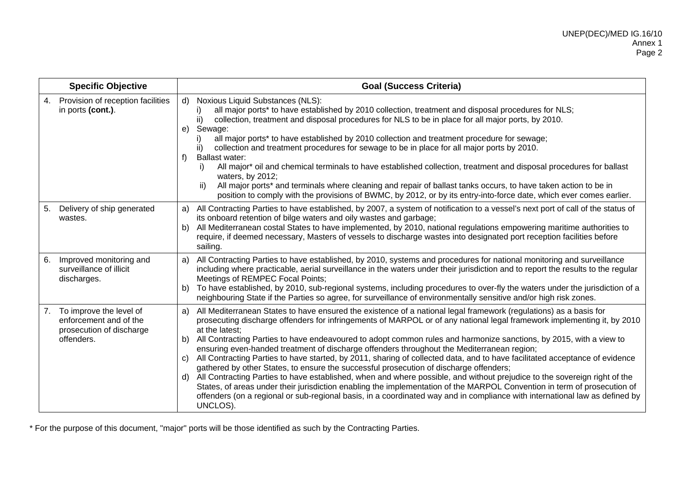| <b>Specific Objective</b>                                                                         | <b>Goal (Success Criteria)</b>                                                                                                                                                                                                                                                                                                                                                                                                                                                                                                                                                                                                                                                                                                                                                                                                                                                                                                                                                                                                                                                                                                          |
|---------------------------------------------------------------------------------------------------|-----------------------------------------------------------------------------------------------------------------------------------------------------------------------------------------------------------------------------------------------------------------------------------------------------------------------------------------------------------------------------------------------------------------------------------------------------------------------------------------------------------------------------------------------------------------------------------------------------------------------------------------------------------------------------------------------------------------------------------------------------------------------------------------------------------------------------------------------------------------------------------------------------------------------------------------------------------------------------------------------------------------------------------------------------------------------------------------------------------------------------------------|
| Provision of reception facilities<br>4.<br>in ports (cont.).                                      | Noxious Liquid Substances (NLS):<br>$\mathsf{d}$<br>all major ports* to have established by 2010 collection, treatment and disposal procedures for NLS;<br>ii)<br>collection, treatment and disposal procedures for NLS to be in place for all major ports, by 2010.<br>Sewage:<br>e)<br>all major ports* to have established by 2010 collection and treatment procedure for sewage;<br>collection and treatment procedures for sewage to be in place for all major ports by 2010.<br>ii)<br>f<br><b>Ballast water:</b><br>All major* oil and chemical terminals to have established collection, treatment and disposal procedures for ballast<br>i)<br>waters, by 2012;<br>All major ports* and terminals where cleaning and repair of ballast tanks occurs, to have taken action to be in<br>ii)<br>position to comply with the provisions of BWMC, by 2012, or by its entry-into-force date, which ever comes earlier.                                                                                                                                                                                                               |
| Delivery of ship generated<br>5.<br>wastes.                                                       | All Contracting Parties to have established, by 2007, a system of notification to a vessel's next port of call of the status of<br>a)<br>its onboard retention of bilge waters and oily wastes and garbage;<br>All Mediterranean costal States to have implemented, by 2010, national regulations empowering maritime authorities to<br>b)<br>require, if deemed necessary, Masters of vessels to discharge wastes into designated port reception facilities before<br>sailing.                                                                                                                                                                                                                                                                                                                                                                                                                                                                                                                                                                                                                                                         |
| 6.<br>Improved monitoring and<br>surveillance of illicit<br>discharges.                           | All Contracting Parties to have established, by 2010, systems and procedures for national monitoring and surveillance<br>a)<br>including where practicable, aerial surveillance in the waters under their jurisdiction and to report the results to the regular<br>Meetings of REMPEC Focal Points;<br>To have established, by 2010, sub-regional systems, including procedures to over-fly the waters under the jurisdiction of a<br>b)<br>neighbouring State if the Parties so agree, for surveillance of environmentally sensitive and/or high risk zones.                                                                                                                                                                                                                                                                                                                                                                                                                                                                                                                                                                           |
| To improve the level of<br>7.<br>enforcement and of the<br>prosecution of discharge<br>offenders. | All Mediterranean States to have ensured the existence of a national legal framework (regulations) as a basis for<br>a)<br>prosecuting discharge offenders for infringements of MARPOL or of any national legal framework implementing it, by 2010<br>at the latest;<br>All Contracting Parties to have endeavoured to adopt common rules and harmonize sanctions, by 2015, with a view to<br>b)<br>ensuring even-handed treatment of discharge offenders throughout the Mediterranean region;<br>All Contracting Parties to have started, by 2011, sharing of collected data, and to have facilitated acceptance of evidence<br>C)<br>gathered by other States, to ensure the successful prosecution of discharge offenders;<br>All Contracting Parties to have established, when and where possible, and without prejudice to the sovereign right of the<br>d)<br>States, of areas under their jurisdiction enabling the implementation of the MARPOL Convention in term of prosecution of<br>offenders (on a regional or sub-regional basis, in a coordinated way and in compliance with international law as defined by<br>UNCLOS). |

\* For the purpose of this document, "major" ports will be those identified as such by the Contracting Parties.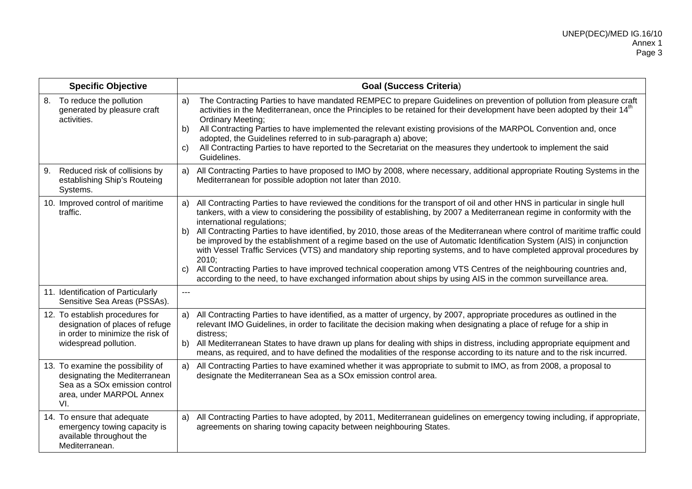| <b>Specific Objective</b>                                                                                                                          | <b>Goal (Success Criteria)</b>                                                                                                                                                                                                                                                                                                                                                                                                                                                                                                                                                                                                                                                                                                                                                                                                                                                                                                              |
|----------------------------------------------------------------------------------------------------------------------------------------------------|---------------------------------------------------------------------------------------------------------------------------------------------------------------------------------------------------------------------------------------------------------------------------------------------------------------------------------------------------------------------------------------------------------------------------------------------------------------------------------------------------------------------------------------------------------------------------------------------------------------------------------------------------------------------------------------------------------------------------------------------------------------------------------------------------------------------------------------------------------------------------------------------------------------------------------------------|
| 8. To reduce the pollution<br>generated by pleasure craft<br>activities.                                                                           | The Contracting Parties to have mandated REMPEC to prepare Guidelines on prevention of pollution from pleasure craft<br>a)<br>activities in the Mediterranean, once the Principles to be retained for their development have been adopted by their 14 <sup>th</sup><br>Ordinary Meeting;<br>All Contracting Parties to have implemented the relevant existing provisions of the MARPOL Convention and, once<br>b)<br>adopted, the Guidelines referred to in sub-paragraph a) above;<br>All Contracting Parties to have reported to the Secretariat on the measures they undertook to implement the said<br>C)<br>Guidelines.                                                                                                                                                                                                                                                                                                                |
| Reduced risk of collisions by<br>9.<br>establishing Ship's Routeing<br>Systems.                                                                    | a) All Contracting Parties to have proposed to IMO by 2008, where necessary, additional appropriate Routing Systems in the<br>Mediterranean for possible adoption not later than 2010.                                                                                                                                                                                                                                                                                                                                                                                                                                                                                                                                                                                                                                                                                                                                                      |
| 10. Improved control of maritime<br>traffic.                                                                                                       | All Contracting Parties to have reviewed the conditions for the transport of oil and other HNS in particular in single hull<br>a)<br>tankers, with a view to considering the possibility of establishing, by 2007 a Mediterranean regime in conformity with the<br>international regulations;<br>b) All Contracting Parties to have identified, by 2010, those areas of the Mediterranean where control of maritime traffic could<br>be improved by the establishment of a regime based on the use of Automatic Identification System (AIS) in conjunction<br>with Vessel Traffic Services (VTS) and mandatory ship reporting systems, and to have completed approval procedures by<br>2010:<br>All Contracting Parties to have improved technical cooperation among VTS Centres of the neighbouring countries and,<br>C)<br>according to the need, to have exchanged information about ships by using AIS in the common surveillance area. |
| 11. Identification of Particularly<br>Sensitive Sea Areas (PSSAs).                                                                                 | $\overline{a}$                                                                                                                                                                                                                                                                                                                                                                                                                                                                                                                                                                                                                                                                                                                                                                                                                                                                                                                              |
| 12. To establish procedures for<br>designation of places of refuge<br>in order to minimize the risk of<br>widespread pollution.                    | All Contracting Parties to have identified, as a matter of urgency, by 2007, appropriate procedures as outlined in the<br>a)<br>relevant IMO Guidelines, in order to facilitate the decision making when designating a place of refuge for a ship in<br>distress:<br>All Mediterranean States to have drawn up plans for dealing with ships in distress, including appropriate equipment and<br>b)<br>means, as required, and to have defined the modalities of the response according to its nature and to the risk incurred.                                                                                                                                                                                                                                                                                                                                                                                                              |
| 13. To examine the possibility of<br>designating the Mediterranean<br>Sea as a SO <sub>x</sub> emission control<br>area, under MARPOL Annex<br>VI. | All Contracting Parties to have examined whether it was appropriate to submit to IMO, as from 2008, a proposal to<br>a)<br>designate the Mediterranean Sea as a SOx emission control area.                                                                                                                                                                                                                                                                                                                                                                                                                                                                                                                                                                                                                                                                                                                                                  |
| 14. To ensure that adequate<br>emergency towing capacity is<br>available throughout the<br>Mediterranean.                                          | All Contracting Parties to have adopted, by 2011, Mediterranean guidelines on emergency towing including, if appropriate,<br>a)<br>agreements on sharing towing capacity between neighbouring States.                                                                                                                                                                                                                                                                                                                                                                                                                                                                                                                                                                                                                                                                                                                                       |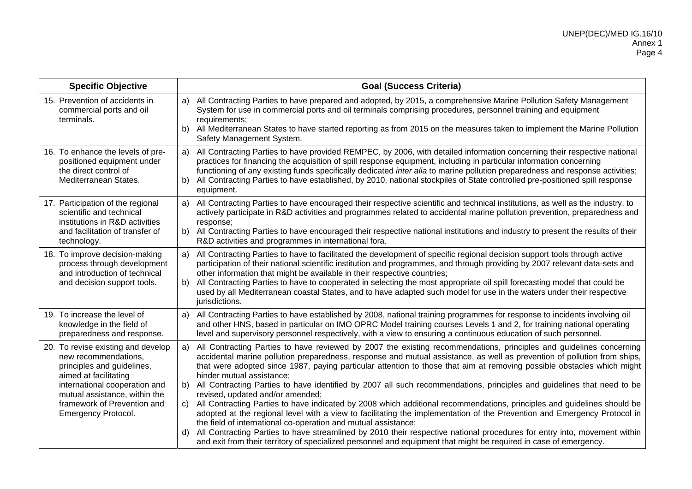| <b>Specific Objective</b>                                                                                                                                                                                                                        | <b>Goal (Success Criteria)</b>                                                                                                                                                                                                                                                                                                                                                                                                                                                                                                                                                                                                                                                                                                                                                                                                                                                                                  |
|--------------------------------------------------------------------------------------------------------------------------------------------------------------------------------------------------------------------------------------------------|-----------------------------------------------------------------------------------------------------------------------------------------------------------------------------------------------------------------------------------------------------------------------------------------------------------------------------------------------------------------------------------------------------------------------------------------------------------------------------------------------------------------------------------------------------------------------------------------------------------------------------------------------------------------------------------------------------------------------------------------------------------------------------------------------------------------------------------------------------------------------------------------------------------------|
| 15. Prevention of accidents in<br>commercial ports and oil<br>terminals.                                                                                                                                                                         | All Contracting Parties to have prepared and adopted, by 2015, a comprehensive Marine Pollution Safety Management<br>a)<br>System for use in commercial ports and oil terminals comprising procedures, personnel training and equipment<br>requirements;<br>All Mediterranean States to have started reporting as from 2015 on the measures taken to implement the Marine Pollution<br>b)<br>Safety Management System.                                                                                                                                                                                                                                                                                                                                                                                                                                                                                          |
| 16. To enhance the levels of pre-<br>positioned equipment under<br>the direct control of<br>Mediterranean States.                                                                                                                                | All Contracting Parties to have provided REMPEC, by 2006, with detailed information concerning their respective national<br>a)<br>practices for financing the acquisition of spill response equipment, including in particular information concerning<br>functioning of any existing funds specifically dedicated inter alia to marine pollution preparedness and response activities;<br>All Contracting Parties to have established, by 2010, national stockpiles of State controlled pre-positioned spill response<br>b)<br>equipment.                                                                                                                                                                                                                                                                                                                                                                       |
| 17. Participation of the regional<br>scientific and technical<br>institutions in R&D activities<br>and facilitation of transfer of<br>technology.                                                                                                | All Contracting Parties to have encouraged their respective scientific and technical institutions, as well as the industry, to<br>a)<br>actively participate in R&D activities and programmes related to accidental marine pollution prevention, preparedness and<br>response;<br>All Contracting Parties to have encouraged their respective national institutions and industry to present the results of their<br>b)<br>R&D activities and programmes in international fora.                                                                                                                                                                                                                                                                                                                                                                                                                                  |
| 18. To improve decision-making<br>process through development<br>and introduction of technical<br>and decision support tools.                                                                                                                    | All Contracting Parties to have to facilitated the development of specific regional decision support tools through active<br>a)<br>participation of their national scientific institution and programmes, and through providing by 2007 relevant data-sets and<br>other information that might be available in their respective countries;<br>All Contracting Parties to have to cooperated in selecting the most appropriate oil spill forecasting model that could be<br>b)<br>used by all Mediterranean coastal States, and to have adapted such model for use in the waters under their respective<br>jurisdictions.                                                                                                                                                                                                                                                                                        |
| 19. To increase the level of<br>knowledge in the field of<br>preparedness and response.                                                                                                                                                          | All Contracting Parties to have established by 2008, national training programmes for response to incidents involving oil<br>a)<br>and other HNS, based in particular on IMO OPRC Model training courses Levels 1 and 2, for training national operating<br>level and supervisory personnel respectively, with a view to ensuring a continuous education of such personnel.                                                                                                                                                                                                                                                                                                                                                                                                                                                                                                                                     |
| 20. To revise existing and develop<br>new recommendations,<br>principles and guidelines,<br>aimed at facilitating<br>international cooperation and<br>mutual assistance, within the<br>framework of Prevention and<br><b>Emergency Protocol.</b> | All Contracting Parties to have reviewed by 2007 the existing recommendations, principles and guidelines concerning<br>a)<br>accidental marine pollution preparedness, response and mutual assistance, as well as prevention of pollution from ships,<br>that were adopted since 1987, paying particular attention to those that aim at removing possible obstacles which might<br>hinder mutual assistance;<br>All Contracting Parties to have identified by 2007 all such recommendations, principles and guidelines that need to be<br>b)<br>revised, updated and/or amended;<br>All Contracting Parties to have indicated by 2008 which additional recommendations, principles and guidelines should be<br>C)<br>adopted at the regional level with a view to facilitating the implementation of the Prevention and Emergency Protocol in<br>the field of international co-operation and mutual assistance; |
|                                                                                                                                                                                                                                                  | All Contracting Parties to have streamlined by 2010 their respective national procedures for entry into, movement within<br>d)<br>and exit from their territory of specialized personnel and equipment that might be required in case of emergency.                                                                                                                                                                                                                                                                                                                                                                                                                                                                                                                                                                                                                                                             |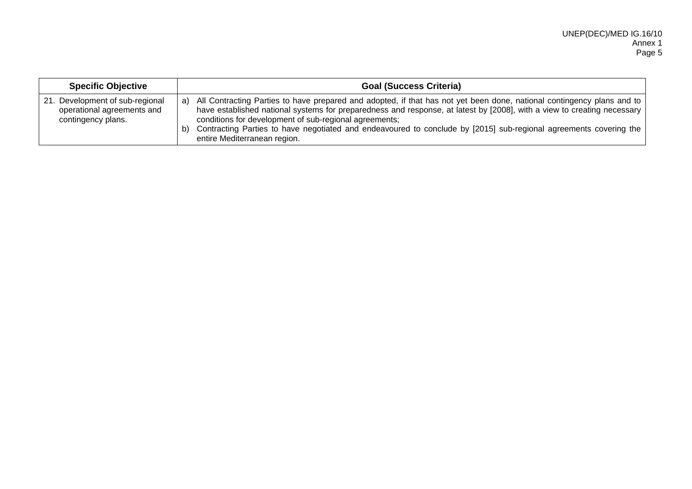| <b>Specific Objective</b>                                                           | <b>Goal (Success Criteria)</b>                                                                                                                                                                                                                                                                                                                                                                                                                                            |
|-------------------------------------------------------------------------------------|---------------------------------------------------------------------------------------------------------------------------------------------------------------------------------------------------------------------------------------------------------------------------------------------------------------------------------------------------------------------------------------------------------------------------------------------------------------------------|
| 21. Development of sub-regional<br>operational agreements and<br>contingency plans. | a) All Contracting Parties to have prepared and adopted, if that has not yet been done, national contingency plans and to<br>have established national systems for preparedness and response, at latest by [2008], with a view to creating necessary<br>conditions for development of sub-regional agreements;<br>Contracting Parties to have negotiated and endeavoured to conclude by [2015] sub-regional agreements covering the<br>b)<br>entire Mediterranean region. |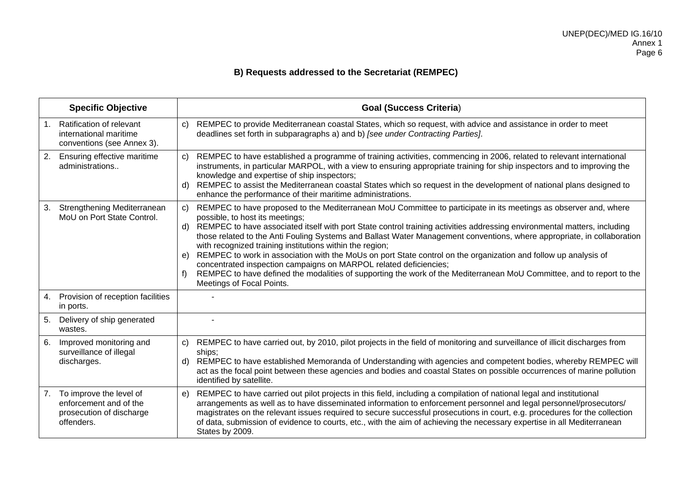# **B) Requests addressed to the Secretariat (REMPEC)**

| <b>Specific Objective</b>                                                                         | <b>Goal (Success Criteria)</b>                                                                                                                                                                                                                                                                                                                                                                                                                                                                                                                                                                                                                                                                                                                                                                                                               |
|---------------------------------------------------------------------------------------------------|----------------------------------------------------------------------------------------------------------------------------------------------------------------------------------------------------------------------------------------------------------------------------------------------------------------------------------------------------------------------------------------------------------------------------------------------------------------------------------------------------------------------------------------------------------------------------------------------------------------------------------------------------------------------------------------------------------------------------------------------------------------------------------------------------------------------------------------------|
| Ratification of relevant<br>$1_{\cdot}$<br>international maritime<br>conventions (see Annex 3).   | REMPEC to provide Mediterranean coastal States, which so request, with advice and assistance in order to meet<br>$\mathsf{C}$<br>deadlines set forth in subparagraphs a) and b) [see under Contracting Parties].                                                                                                                                                                                                                                                                                                                                                                                                                                                                                                                                                                                                                             |
| 2.<br>Ensuring effective maritime<br>administrations                                              | REMPEC to have established a programme of training activities, commencing in 2006, related to relevant international<br>$\mathbf{C}$<br>instruments, in particular MARPOL, with a view to ensuring appropriate training for ship inspectors and to improving the<br>knowledge and expertise of ship inspectors;<br>REMPEC to assist the Mediterranean coastal States which so request in the development of national plans designed to<br>d)<br>enhance the performance of their maritime administrations.                                                                                                                                                                                                                                                                                                                                   |
| Strengthening Mediterranean<br>3.<br>MoU on Port State Control.                                   | REMPEC to have proposed to the Mediterranean MoU Committee to participate in its meetings as observer and, where<br>C)<br>possible, to host its meetings;<br>REMPEC to have associated itself with port State control training activities addressing environmental matters, including<br>d)<br>those related to the Anti Fouling Systems and Ballast Water Management conventions, where appropriate, in collaboration<br>with recognized training institutions within the region;<br>REMPEC to work in association with the MoUs on port State control on the organization and follow up analysis of<br>e)<br>concentrated inspection campaigns on MARPOL related deficiencies;<br>REMPEC to have defined the modalities of supporting the work of the Mediterranean MoU Committee, and to report to the<br>f)<br>Meetings of Focal Points. |
| Provision of reception facilities<br>4.<br>in ports.                                              |                                                                                                                                                                                                                                                                                                                                                                                                                                                                                                                                                                                                                                                                                                                                                                                                                                              |
| 5.<br>Delivery of ship generated<br>wastes.                                                       |                                                                                                                                                                                                                                                                                                                                                                                                                                                                                                                                                                                                                                                                                                                                                                                                                                              |
| Improved monitoring and<br>6.<br>surveillance of illegal<br>discharges.                           | REMPEC to have carried out, by 2010, pilot projects in the field of monitoring and surveillance of illicit discharges from<br>C)<br>ships;<br>REMPEC to have established Memoranda of Understanding with agencies and competent bodies, whereby REMPEC will<br>d)<br>act as the focal point between these agencies and bodies and coastal States on possible occurrences of marine pollution<br>identified by satellite.                                                                                                                                                                                                                                                                                                                                                                                                                     |
| To improve the level of<br>7.<br>enforcement and of the<br>prosecution of discharge<br>offenders. | REMPEC to have carried out pilot projects in this field, including a compilation of national legal and institutional<br>e)<br>arrangements as well as to have disseminated information to enforcement personnel and legal personnel/prosecutors/<br>magistrates on the relevant issues required to secure successful prosecutions in court, e.g. procedures for the collection<br>of data, submission of evidence to courts, etc., with the aim of achieving the necessary expertise in all Mediterranean<br>States by 2009.                                                                                                                                                                                                                                                                                                                 |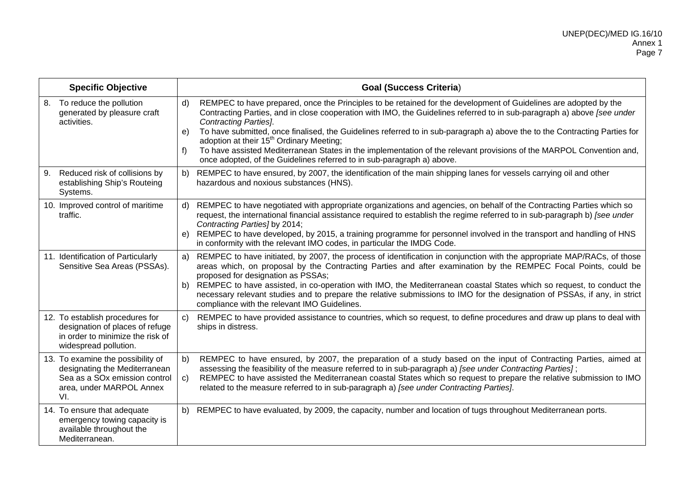| <b>Specific Objective</b>                                                                                                                          | <b>Goal (Success Criteria)</b>                                                                                                                                                                                                                                                                                                                                                                                                                                                                                                                                                                                                                                                                  |
|----------------------------------------------------------------------------------------------------------------------------------------------------|-------------------------------------------------------------------------------------------------------------------------------------------------------------------------------------------------------------------------------------------------------------------------------------------------------------------------------------------------------------------------------------------------------------------------------------------------------------------------------------------------------------------------------------------------------------------------------------------------------------------------------------------------------------------------------------------------|
| 8. To reduce the pollution<br>generated by pleasure craft<br>activities.                                                                           | REMPEC to have prepared, once the Principles to be retained for the development of Guidelines are adopted by the<br>$\mathsf{d}$<br>Contracting Parties, and in close cooperation with IMO, the Guidelines referred to in sub-paragraph a) above [see under<br><b>Contracting Parties].</b><br>To have submitted, once finalised, the Guidelines referred to in sub-paragraph a) above the to the Contracting Parties for<br>e)<br>adoption at their 15 <sup>th</sup> Ordinary Meeting;<br>To have assisted Mediterranean States in the implementation of the relevant provisions of the MARPOL Convention and,<br>f)<br>once adopted, of the Guidelines referred to in sub-paragraph a) above. |
| Reduced risk of collisions by<br>9.<br>establishing Ship's Routeing<br>Systems.                                                                    | REMPEC to have ensured, by 2007, the identification of the main shipping lanes for vessels carrying oil and other<br>b)<br>hazardous and noxious substances (HNS).                                                                                                                                                                                                                                                                                                                                                                                                                                                                                                                              |
| 10. Improved control of maritime<br>traffic.                                                                                                       | REMPEC to have negotiated with appropriate organizations and agencies, on behalf of the Contracting Parties which so<br>d)<br>request, the international financial assistance required to establish the regime referred to in sub-paragraph b) [see under<br>Contracting Parties] by 2014;<br>REMPEC to have developed, by 2015, a training programme for personnel involved in the transport and handling of HNS<br>e)<br>in conformity with the relevant IMO codes, in particular the IMDG Code.                                                                                                                                                                                              |
| 11. Identification of Particularly<br>Sensitive Sea Areas (PSSAs).                                                                                 | REMPEC to have initiated, by 2007, the process of identification in conjunction with the appropriate MAP/RACs, of those<br>a)<br>areas which, on proposal by the Contracting Parties and after examination by the REMPEC Focal Points, could be<br>proposed for designation as PSSAs;<br>REMPEC to have assisted, in co-operation with IMO, the Mediterranean coastal States which so request, to conduct the<br>b)<br>necessary relevant studies and to prepare the relative submissions to IMO for the designation of PSSAs, if any, in strict<br>compliance with the relevant IMO Guidelines.                                                                                                |
| 12. To establish procedures for<br>designation of places of refuge<br>in order to minimize the risk of<br>widespread pollution.                    | REMPEC to have provided assistance to countries, which so request, to define procedures and draw up plans to deal with<br>$\mathsf{C}$ )<br>ships in distress.                                                                                                                                                                                                                                                                                                                                                                                                                                                                                                                                  |
| 13. To examine the possibility of<br>designating the Mediterranean<br>Sea as a SO <sub>x</sub> emission control<br>area, under MARPOL Annex<br>VI. | REMPEC to have ensured, by 2007, the preparation of a study based on the input of Contracting Parties, aimed at<br>b)<br>assessing the feasibility of the measure referred to in sub-paragraph a) [see under Contracting Parties];<br>REMPEC to have assisted the Mediterranean coastal States which so request to prepare the relative submission to IMO<br>$\mathsf{C}$<br>related to the measure referred to in sub-paragraph a) [see under Contracting Parties].                                                                                                                                                                                                                            |
| 14. To ensure that adequate<br>emergency towing capacity is<br>available throughout the<br>Mediterranean.                                          | REMPEC to have evaluated, by 2009, the capacity, number and location of tugs throughout Mediterranean ports.<br>b)                                                                                                                                                                                                                                                                                                                                                                                                                                                                                                                                                                              |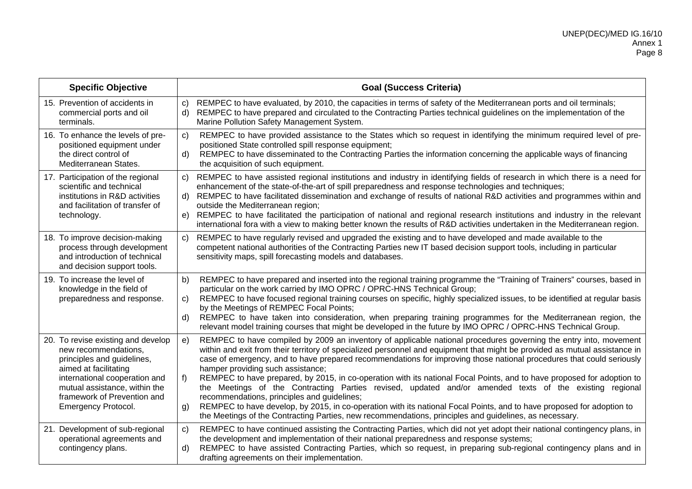| <b>Specific Objective</b>                                                                                                                                                                                                                 | <b>Goal (Success Criteria)</b>                                                                                                                                                                                                                                                                                                                                                                                                                                                                                                                                                                                                                                                                                                                                                                                                                                                                                                                       |
|-------------------------------------------------------------------------------------------------------------------------------------------------------------------------------------------------------------------------------------------|------------------------------------------------------------------------------------------------------------------------------------------------------------------------------------------------------------------------------------------------------------------------------------------------------------------------------------------------------------------------------------------------------------------------------------------------------------------------------------------------------------------------------------------------------------------------------------------------------------------------------------------------------------------------------------------------------------------------------------------------------------------------------------------------------------------------------------------------------------------------------------------------------------------------------------------------------|
| 15. Prevention of accidents in<br>commercial ports and oil<br>terminals.                                                                                                                                                                  | REMPEC to have evaluated, by 2010, the capacities in terms of safety of the Mediterranean ports and oil terminals;<br>C)<br>REMPEC to have prepared and circulated to the Contracting Parties technical guidelines on the implementation of the<br>d)<br>Marine Pollution Safety Management System.                                                                                                                                                                                                                                                                                                                                                                                                                                                                                                                                                                                                                                                  |
| 16. To enhance the levels of pre-<br>positioned equipment under<br>the direct control of<br>Mediterranean States.                                                                                                                         | REMPEC to have provided assistance to the States which so request in identifying the minimum required level of pre-<br>C)<br>positioned State controlled spill response equipment;<br>REMPEC to have disseminated to the Contracting Parties the information concerning the applicable ways of financing<br>d).<br>the acquisition of such equipment.                                                                                                                                                                                                                                                                                                                                                                                                                                                                                                                                                                                                |
| 17. Participation of the regional<br>scientific and technical<br>institutions in R&D activities<br>and facilitation of transfer of<br>technology.                                                                                         | REMPEC to have assisted regional institutions and industry in identifying fields of research in which there is a need for<br>C)<br>enhancement of the state-of-the-art of spill preparedness and response technologies and techniques;<br>REMPEC to have facilitated dissemination and exchange of results of national R&D activities and programmes within and<br>d)<br>outside the Mediterranean region;<br>REMPEC to have facilitated the participation of national and regional research institutions and industry in the relevant<br>e)<br>international fora with a view to making better known the results of R&D activities undertaken in the Mediterranean region.                                                                                                                                                                                                                                                                          |
| 18. To improve decision-making<br>process through development<br>and introduction of technical<br>and decision support tools.                                                                                                             | REMPEC to have regularly revised and upgraded the existing and to have developed and made available to the<br>C)<br>competent national authorities of the Contracting Parties new IT based decision support tools, including in particular<br>sensitivity maps, spill forecasting models and databases.                                                                                                                                                                                                                                                                                                                                                                                                                                                                                                                                                                                                                                              |
| 19. To increase the level of<br>knowledge in the field of<br>preparedness and response.                                                                                                                                                   | REMPEC to have prepared and inserted into the regional training programme the "Training of Trainers" courses, based in<br>b)<br>particular on the work carried by IMO OPRC / OPRC-HNS Technical Group;<br>REMPEC to have focused regional training courses on specific, highly specialized issues, to be identified at regular basis<br>C)<br>by the Meetings of REMPEC Focal Points;<br>REMPEC to have taken into consideration, when preparing training programmes for the Mediterranean region, the<br>d)<br>relevant model training courses that might be developed in the future by IMO OPRC / OPRC-HNS Technical Group.                                                                                                                                                                                                                                                                                                                        |
| 20. To revise existing and develop<br>new recommendations,<br>principles and guidelines,<br>aimed at facilitating<br>international cooperation and<br>mutual assistance, within the<br>framework of Prevention and<br>Emergency Protocol. | REMPEC to have compiled by 2009 an inventory of applicable national procedures governing the entry into, movement<br>e)<br>within and exit from their territory of specialized personnel and equipment that might be provided as mutual assistance in<br>case of emergency, and to have prepared recommendations for improving those national procedures that could seriously<br>hamper providing such assistance;<br>REMPEC to have prepared, by 2015, in co-operation with its national Focal Points, and to have proposed for adoption to<br>f)<br>the Meetings of the Contracting Parties revised, updated and/or amended texts of the existing regional<br>recommendations, principles and guidelines;<br>REMPEC to have develop, by 2015, in co-operation with its national Focal Points, and to have proposed for adoption to<br>g)<br>the Meetings of the Contracting Parties, new recommendations, principles and guidelines, as necessary. |
| 21. Development of sub-regional<br>operational agreements and<br>contingency plans.                                                                                                                                                       | REMPEC to have continued assisting the Contracting Parties, which did not yet adopt their national contingency plans, in<br>C)<br>the development and implementation of their national preparedness and response systems;<br>REMPEC to have assisted Contracting Parties, which so request, in preparing sub-regional contingency plans and in<br>d)<br>drafting agreements on their implementation.                                                                                                                                                                                                                                                                                                                                                                                                                                                                                                                                                 |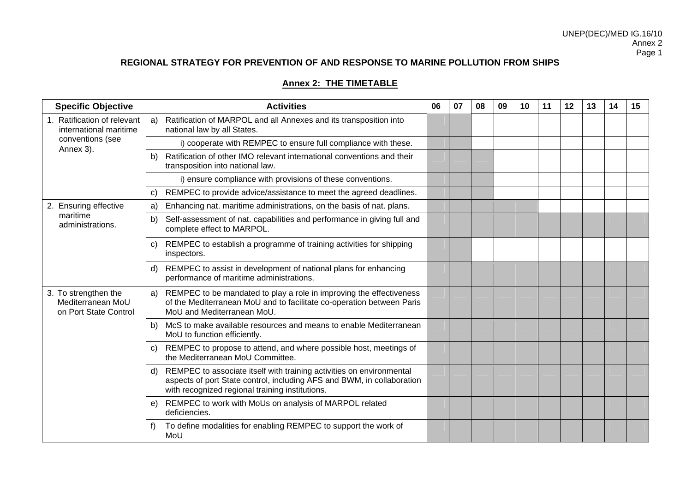### **Annex 2: THE TIMETABLE**

| <b>Specific Objective</b>                                          | <b>Activities</b>                                                                                                                                                                                       | 06 | 07 | 08 | 09 | 10 | 11 | 12 | 13 | 14 | 15 |
|--------------------------------------------------------------------|---------------------------------------------------------------------------------------------------------------------------------------------------------------------------------------------------------|----|----|----|----|----|----|----|----|----|----|
| 1. Ratification of relevant<br>international maritime              | Ratification of MARPOL and all Annexes and its transposition into<br>a)<br>national law by all States.                                                                                                  |    |    |    |    |    |    |    |    |    |    |
| conventions (see<br>Annex 3).                                      | i) cooperate with REMPEC to ensure full compliance with these.                                                                                                                                          |    |    |    |    |    |    |    |    |    |    |
|                                                                    | Ratification of other IMO relevant international conventions and their<br>b)<br>transposition into national law.                                                                                        |    |    |    |    |    |    |    |    |    |    |
|                                                                    | i) ensure compliance with provisions of these conventions.                                                                                                                                              |    |    |    |    |    |    |    |    |    |    |
|                                                                    | REMPEC to provide advice/assistance to meet the agreed deadlines.<br>C)                                                                                                                                 |    |    |    |    |    |    |    |    |    |    |
| 2. Ensuring effective                                              | Enhancing nat. maritime administrations, on the basis of nat. plans.<br>a)                                                                                                                              |    |    |    |    |    |    |    |    |    |    |
| maritime<br>administrations.                                       | Self-assessment of nat. capabilities and performance in giving full and<br>b)<br>complete effect to MARPOL.<br>REMPEC to establish a programme of training activities for shipping<br>C)<br>inspectors. |    |    |    |    |    |    |    |    |    |    |
|                                                                    |                                                                                                                                                                                                         |    |    |    |    |    |    |    |    |    |    |
|                                                                    | REMPEC to assist in development of national plans for enhancing<br>d)<br>performance of maritime administrations.                                                                                       |    |    |    |    |    |    |    |    |    |    |
| 3. To strengthen the<br>Mediterranean MoU<br>on Port State Control | REMPEC to be mandated to play a role in improving the effectiveness<br>a)<br>of the Mediterranean MoU and to facilitate co-operation between Paris<br>MoU and Mediterranean MoU.                        |    |    |    |    |    |    |    |    |    |    |
|                                                                    | McS to make available resources and means to enable Mediterranean<br>b)<br>MoU to function efficiently.                                                                                                 |    |    |    |    |    |    |    |    |    |    |
|                                                                    | REMPEC to propose to attend, and where possible host, meetings of<br>C)<br>the Mediterranean MoU Committee.                                                                                             |    |    |    |    |    |    |    |    |    |    |
|                                                                    | REMPEC to associate itself with training activities on environmental<br>d)<br>aspects of port State control, including AFS and BWM, in collaboration<br>with recognized regional training institutions. |    |    |    |    |    |    |    |    |    |    |
|                                                                    | REMPEC to work with MoUs on analysis of MARPOL related<br>e)<br>deficiencies.                                                                                                                           |    |    |    |    |    |    |    |    |    |    |
|                                                                    | To define modalities for enabling REMPEC to support the work of<br>MoU                                                                                                                                  |    |    |    |    |    |    |    |    |    |    |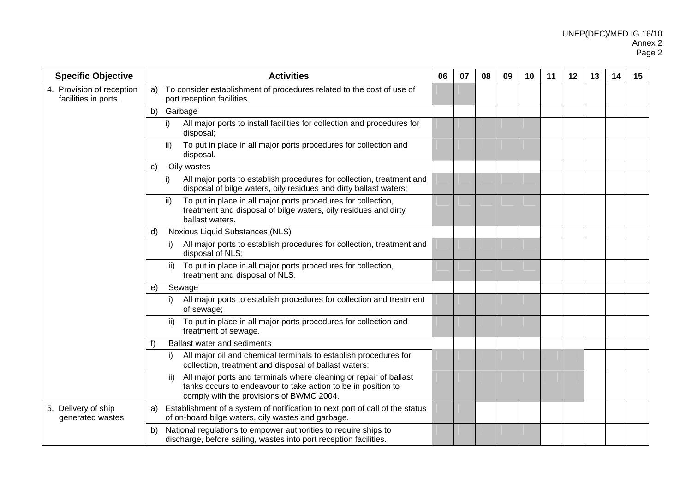| <b>Specific Objective</b>                         | <b>Activities</b>                                                                                                                                                                     | 06 | 07 | 08 | 09 | 10 | 11 | 12 | 13 | 14 | 15 |
|---------------------------------------------------|---------------------------------------------------------------------------------------------------------------------------------------------------------------------------------------|----|----|----|----|----|----|----|----|----|----|
| 4. Provision of reception<br>facilities in ports. | To consider establishment of procedures related to the cost of use of<br>a)<br>port reception facilities.                                                                             |    |    |    |    |    |    |    |    |    |    |
|                                                   | b) Garbage                                                                                                                                                                            |    |    |    |    |    |    |    |    |    |    |
|                                                   | All major ports to install facilities for collection and procedures for<br>i)<br>disposal;                                                                                            |    |    |    |    |    |    |    |    |    |    |
|                                                   | To put in place in all major ports procedures for collection and<br>ii)<br>disposal.                                                                                                  |    |    |    |    |    |    |    |    |    |    |
|                                                   | Oily wastes<br>C)                                                                                                                                                                     |    |    |    |    |    |    |    |    |    |    |
|                                                   | All major ports to establish procedures for collection, treatment and<br>i)<br>disposal of bilge waters, oily residues and dirty ballast waters;                                      |    |    |    |    |    |    |    |    |    |    |
|                                                   | To put in place in all major ports procedures for collection,<br>ii)<br>treatment and disposal of bilge waters, oily residues and dirty<br>ballast waters.                            |    |    |    |    |    |    |    |    |    |    |
|                                                   | Noxious Liquid Substances (NLS)<br>d)                                                                                                                                                 |    |    |    |    |    |    |    |    |    |    |
|                                                   | All major ports to establish procedures for collection, treatment and<br>i)<br>disposal of NLS;                                                                                       |    |    |    |    |    |    |    |    |    |    |
|                                                   | To put in place in all major ports procedures for collection,<br>ii)<br>treatment and disposal of NLS.                                                                                |    |    |    |    |    |    |    |    |    |    |
|                                                   | Sewage<br>e)                                                                                                                                                                          |    |    |    |    |    |    |    |    |    |    |
|                                                   | All major ports to establish procedures for collection and treatment<br>i)<br>of sewage;                                                                                              |    |    |    |    |    |    |    |    |    |    |
|                                                   | To put in place in all major ports procedures for collection and<br>ii)<br>treatment of sewage.                                                                                       |    |    |    |    |    |    |    |    |    |    |
|                                                   | <b>Ballast water and sediments</b><br>f)                                                                                                                                              |    |    |    |    |    |    |    |    |    |    |
|                                                   | All major oil and chemical terminals to establish procedures for<br>collection, treatment and disposal of ballast waters;                                                             |    |    |    |    |    |    |    |    |    |    |
|                                                   | All major ports and terminals where cleaning or repair of ballast<br>ii)<br>tanks occurs to endeavour to take action to be in position to<br>comply with the provisions of BWMC 2004. |    |    |    |    |    |    |    |    |    |    |
| 5. Delivery of ship<br>generated wastes.          | Establishment of a system of notification to next port of call of the status<br>a)<br>of on-board bilge waters, oily wastes and garbage.                                              |    |    |    |    |    |    |    |    |    |    |
|                                                   | National regulations to empower authorities to require ships to<br>b)<br>discharge, before sailing, wastes into port reception facilities.                                            |    |    |    |    |    |    |    |    |    |    |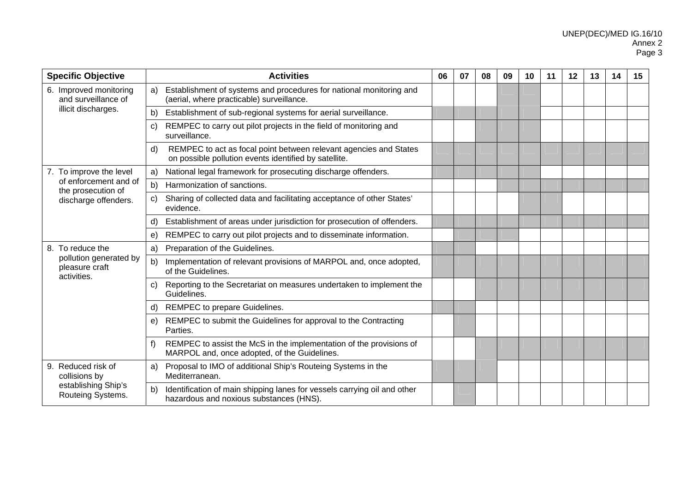| <b>Specific Objective</b>                               | <b>Activities</b>                                                                                                                | 06 | 07 | 08 | 09 | 10 | 11 | 12 | 13 | 14 | 15 |
|---------------------------------------------------------|----------------------------------------------------------------------------------------------------------------------------------|----|----|----|----|----|----|----|----|----|----|
| 6. Improved monitoring<br>and surveillance of           | Establishment of systems and procedures for national monitoring and<br>a)<br>(aerial, where practicable) surveillance.           |    |    |    |    |    |    |    |    |    |    |
| illicit discharges.                                     | Establishment of sub-regional systems for aerial surveillance.<br>b)                                                             |    |    |    |    |    |    |    |    |    |    |
|                                                         | REMPEC to carry out pilot projects in the field of monitoring and<br>C)<br>surveillance.                                         |    |    |    |    |    |    |    |    |    |    |
|                                                         | REMPEC to act as focal point between relevant agencies and States<br>d)<br>on possible pollution events identified by satellite. |    |    |    |    |    |    |    |    |    |    |
| 7. To improve the level                                 | National legal framework for prosecuting discharge offenders.<br>a)                                                              |    |    |    |    |    |    |    |    |    |    |
| of enforcement and of<br>the prosecution of             | b)<br>Harmonization of sanctions.                                                                                                |    |    |    |    |    |    |    |    |    |    |
| discharge offenders.                                    | Sharing of collected data and facilitating acceptance of other States'<br>C)<br>evidence.                                        |    |    |    |    |    |    |    |    |    |    |
|                                                         | Establishment of areas under jurisdiction for prosecution of offenders.<br>d)                                                    |    |    |    |    |    |    |    |    |    |    |
|                                                         | REMPEC to carry out pilot projects and to disseminate information.<br>e)                                                         |    |    |    |    |    |    |    |    |    |    |
| 8. To reduce the                                        | Preparation of the Guidelines.<br>a)                                                                                             |    |    |    |    |    |    |    |    |    |    |
| pollution generated by<br>pleasure craft<br>activities. | Implementation of relevant provisions of MARPOL and, once adopted,<br>b)<br>of the Guidelines.                                   |    |    |    |    |    |    |    |    |    |    |
|                                                         | Reporting to the Secretariat on measures undertaken to implement the<br>C)<br>Guidelines.                                        |    |    |    |    |    |    |    |    |    |    |
|                                                         | REMPEC to prepare Guidelines.<br>d)                                                                                              |    |    |    |    |    |    |    |    |    |    |
|                                                         | REMPEC to submit the Guidelines for approval to the Contracting<br>e)<br>Parties.                                                |    |    |    |    |    |    |    |    |    |    |
|                                                         | REMPEC to assist the McS in the implementation of the provisions of<br>f)<br>MARPOL and, once adopted, of the Guidelines.        |    |    |    |    |    |    |    |    |    |    |
| 9. Reduced risk of<br>collisions by                     | Proposal to IMO of additional Ship's Routeing Systems in the<br>a)<br>Mediterranean.                                             |    |    |    |    |    |    |    |    |    |    |
| establishing Ship's<br>Routeing Systems.                | Identification of main shipping lanes for vessels carrying oil and other<br>b)<br>hazardous and noxious substances (HNS).        |    |    |    |    |    |    |    |    |    |    |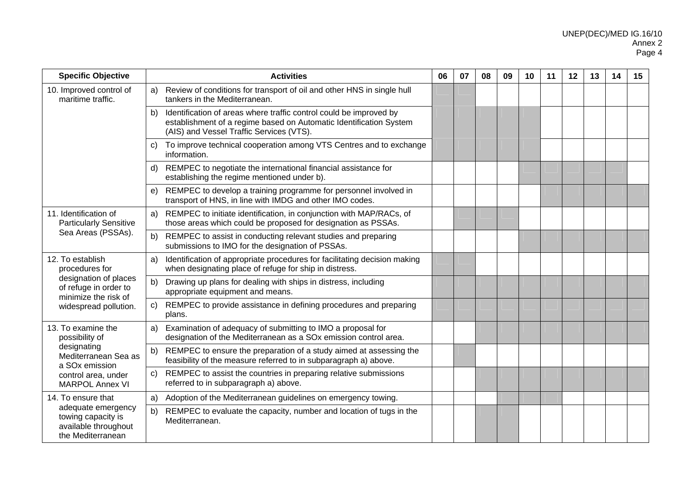| <b>Specific Objective</b>                                                             | <b>Activities</b>                                                                                                                                                                          | 06 | 07 | 08 | 09 | 10 | 11 | 12 | 13 | 14 | 15 |
|---------------------------------------------------------------------------------------|--------------------------------------------------------------------------------------------------------------------------------------------------------------------------------------------|----|----|----|----|----|----|----|----|----|----|
| 10. Improved control of<br>maritime traffic.                                          | Review of conditions for transport of oil and other HNS in single hull<br>a)<br>tankers in the Mediterranean.                                                                              |    |    |    |    |    |    |    |    |    |    |
|                                                                                       | Identification of areas where traffic control could be improved by<br>b)<br>establishment of a regime based on Automatic Identification System<br>(AIS) and Vessel Traffic Services (VTS). |    |    |    |    |    |    |    |    |    |    |
|                                                                                       | To improve technical cooperation among VTS Centres and to exchange<br>C)<br>information.                                                                                                   |    |    |    |    |    |    |    |    |    |    |
|                                                                                       | REMPEC to negotiate the international financial assistance for<br>d)<br>establishing the regime mentioned under b).                                                                        |    |    |    |    |    |    |    |    |    |    |
|                                                                                       | REMPEC to develop a training programme for personnel involved in<br>e)<br>transport of HNS, in line with IMDG and other IMO codes.                                                         |    |    |    |    |    |    |    |    |    |    |
| 11. Identification of<br><b>Particularly Sensitive</b>                                | REMPEC to initiate identification, in conjunction with MAP/RACs, of<br>a)<br>those areas which could be proposed for designation as PSSAs.                                                 |    |    |    |    |    |    |    |    |    |    |
| Sea Areas (PSSAs).                                                                    | REMPEC to assist in conducting relevant studies and preparing<br>b)<br>submissions to IMO for the designation of PSSAs.                                                                    |    |    |    |    |    |    |    |    |    |    |
| 12. To establish<br>procedures for                                                    | Identification of appropriate procedures for facilitating decision making<br>a)<br>when designating place of refuge for ship in distress.                                                  |    |    |    |    |    |    |    |    |    |    |
| designation of places<br>of refuge in order to<br>minimize the risk of                | b)<br>Drawing up plans for dealing with ships in distress, including<br>appropriate equipment and means.                                                                                   |    |    |    |    |    |    |    |    |    |    |
| widespread pollution.                                                                 | REMPEC to provide assistance in defining procedures and preparing<br>C)<br>plans.                                                                                                          |    |    |    |    |    |    |    |    |    |    |
| 13. To examine the<br>possibility of                                                  | Examination of adequacy of submitting to IMO a proposal for<br>a)<br>designation of the Mediterranean as a SOx emission control area.                                                      |    |    |    |    |    |    |    |    |    |    |
| designating<br>Mediterranean Sea as<br>a SO <sub>x</sub> emission                     | REMPEC to ensure the preparation of a study aimed at assessing the<br>b)<br>feasibility of the measure referred to in subparagraph a) above.                                               |    |    |    |    |    |    |    |    |    |    |
| control area, under<br><b>MARPOL Annex VI</b>                                         | REMPEC to assist the countries in preparing relative submissions<br>C)<br>referred to in subparagraph a) above.                                                                            |    |    |    |    |    |    |    |    |    |    |
| 14. To ensure that                                                                    | a)<br>Adoption of the Mediterranean guidelines on emergency towing.                                                                                                                        |    |    |    |    |    |    |    |    |    |    |
| adequate emergency<br>towing capacity is<br>available throughout<br>the Mediterranean | REMPEC to evaluate the capacity, number and location of tugs in the<br>b)<br>Mediterranean.                                                                                                |    |    |    |    |    |    |    |    |    |    |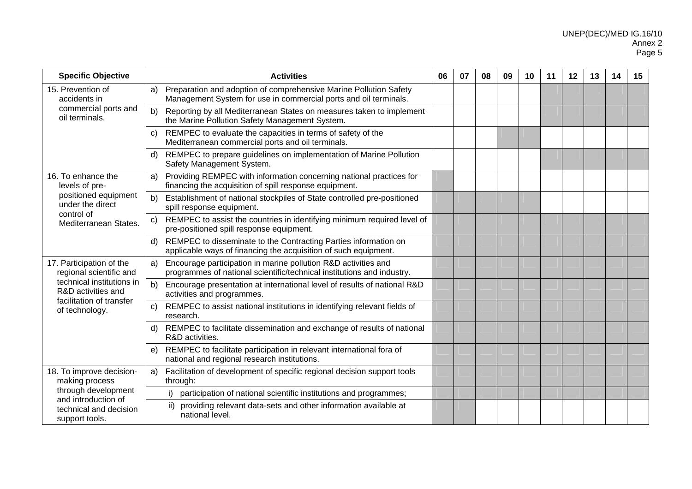| <b>Specific Objective</b>                                                                                                                            | <b>Activities</b>                                                                                                                              | 06 | 07 | 08 | 09 | 10 | 11 | 12 | 13 | 14 | 15 |
|------------------------------------------------------------------------------------------------------------------------------------------------------|------------------------------------------------------------------------------------------------------------------------------------------------|----|----|----|----|----|----|----|----|----|----|
| 15. Prevention of<br>accidents in<br>commercial ports and<br>oil terminals.                                                                          | Preparation and adoption of comprehensive Marine Pollution Safety<br>a)<br>Management System for use in commercial ports and oil terminals.    |    |    |    |    |    |    |    |    |    |    |
|                                                                                                                                                      | Reporting by all Mediterranean States on measures taken to implement<br>b)<br>the Marine Pollution Safety Management System.                   |    |    |    |    |    |    |    |    |    |    |
|                                                                                                                                                      | REMPEC to evaluate the capacities in terms of safety of the<br>C)<br>Mediterranean commercial ports and oil terminals.                         |    |    |    |    |    |    |    |    |    |    |
|                                                                                                                                                      | REMPEC to prepare guidelines on implementation of Marine Pollution<br>d)<br>Safety Management System.                                          |    |    |    |    |    |    |    |    |    |    |
| 16. To enhance the<br>levels of pre-<br>positioned equipment<br>under the direct<br>control of<br>Mediterranean States.                              | Providing REMPEC with information concerning national practices for<br>a)<br>financing the acquisition of spill response equipment.            |    |    |    |    |    |    |    |    |    |    |
|                                                                                                                                                      | Establishment of national stockpiles of State controlled pre-positioned<br>b)<br>spill response equipment.                                     |    |    |    |    |    |    |    |    |    |    |
|                                                                                                                                                      | REMPEC to assist the countries in identifying minimum required level of<br>$\mathsf{C}$<br>pre-positioned spill response equipment.            |    |    |    |    |    |    |    |    |    |    |
|                                                                                                                                                      | REMPEC to disseminate to the Contracting Parties information on<br>d)<br>applicable ways of financing the acquisition of such equipment.       |    |    |    |    |    |    |    |    |    |    |
| 17. Participation of the<br>regional scientific and<br>technical institutions in<br>R&D activities and<br>facilitation of transfer<br>of technology. | Encourage participation in marine pollution R&D activities and<br>a)<br>programmes of national scientific/technical institutions and industry. |    |    |    |    |    |    |    |    |    |    |
|                                                                                                                                                      | b)<br>Encourage presentation at international level of results of national R&D<br>activities and programmes.                                   |    |    |    |    |    |    |    |    |    |    |
|                                                                                                                                                      | REMPEC to assist national institutions in identifying relevant fields of<br>C)<br>research.                                                    |    |    |    |    |    |    |    |    |    |    |
|                                                                                                                                                      | REMPEC to facilitate dissemination and exchange of results of national<br>d)<br>R&D activities.                                                |    |    |    |    |    |    |    |    |    |    |
|                                                                                                                                                      | REMPEC to facilitate participation in relevant international fora of<br>e)<br>national and regional research institutions.                     |    |    |    |    |    |    |    |    |    |    |
| 18. To improve decision-<br>making process<br>through development<br>and introduction of<br>technical and decision<br>support tools.                 | Facilitation of development of specific regional decision support tools<br>a)<br>through:                                                      |    |    |    |    |    |    |    |    |    |    |
|                                                                                                                                                      | participation of national scientific institutions and programmes;                                                                              |    |    |    |    |    |    |    |    |    |    |
|                                                                                                                                                      | providing relevant data-sets and other information available at<br>ii)<br>national level.                                                      |    |    |    |    |    |    |    |    |    |    |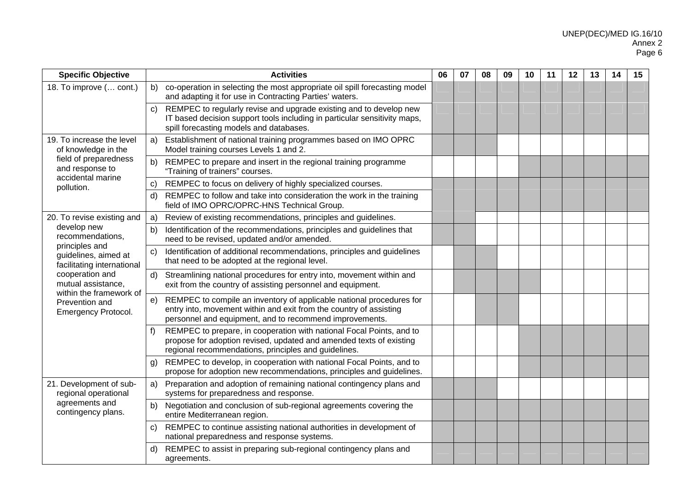| <b>Specific Objective</b>                                                                                                                                                                                            | <b>Activities</b>                                                                                                                                                                                           | 06 | 07 | 08 | 09 | 10 | 11 | 12 | 13 | 14 | 15 |
|----------------------------------------------------------------------------------------------------------------------------------------------------------------------------------------------------------------------|-------------------------------------------------------------------------------------------------------------------------------------------------------------------------------------------------------------|----|----|----|----|----|----|----|----|----|----|
| 18. To improve ( cont.)                                                                                                                                                                                              | co-operation in selecting the most appropriate oil spill forecasting model<br>b)<br>and adapting it for use in Contracting Parties' waters.                                                                 |    |    |    |    |    |    |    |    |    |    |
|                                                                                                                                                                                                                      | REMPEC to regularly revise and upgrade existing and to develop new<br>C)<br>IT based decision support tools including in particular sensitivity maps,<br>spill forecasting models and databases.            |    |    |    |    |    |    |    |    |    |    |
| 19. To increase the level<br>of knowledge in the<br>field of preparedness<br>and response to<br>accidental marine<br>pollution.                                                                                      | Establishment of national training programmes based on IMO OPRC<br>a)<br>Model training courses Levels 1 and 2.                                                                                             |    |    |    |    |    |    |    |    |    |    |
|                                                                                                                                                                                                                      | REMPEC to prepare and insert in the regional training programme<br>b)<br>"Training of trainers" courses.                                                                                                    |    |    |    |    |    |    |    |    |    |    |
|                                                                                                                                                                                                                      | REMPEC to focus on delivery of highly specialized courses.<br>C)                                                                                                                                            |    |    |    |    |    |    |    |    |    |    |
|                                                                                                                                                                                                                      | REMPEC to follow and take into consideration the work in the training<br>d)<br>field of IMO OPRC/OPRC-HNS Technical Group.                                                                                  |    |    |    |    |    |    |    |    |    |    |
| 20. To revise existing and                                                                                                                                                                                           | Review of existing recommendations, principles and guidelines.<br>a)                                                                                                                                        |    |    |    |    |    |    |    |    |    |    |
| develop new<br>recommendations,<br>principles and<br>guidelines, aimed at<br>facilitating international<br>cooperation and<br>mutual assistance.<br>within the framework of<br>Prevention and<br>Emergency Protocol. | Identification of the recommendations, principles and guidelines that<br>b)<br>need to be revised, updated and/or amended.                                                                                  |    |    |    |    |    |    |    |    |    |    |
|                                                                                                                                                                                                                      | Identification of additional recommendations, principles and guidelines<br>C)<br>that need to be adopted at the regional level.                                                                             |    |    |    |    |    |    |    |    |    |    |
|                                                                                                                                                                                                                      | Streamlining national procedures for entry into, movement within and<br>d)<br>exit from the country of assisting personnel and equipment.                                                                   |    |    |    |    |    |    |    |    |    |    |
|                                                                                                                                                                                                                      | REMPEC to compile an inventory of applicable national procedures for<br>e)<br>entry into, movement within and exit from the country of assisting<br>personnel and equipment, and to recommend improvements. |    |    |    |    |    |    |    |    |    |    |
|                                                                                                                                                                                                                      | REMPEC to prepare, in cooperation with national Focal Points, and to<br>f<br>propose for adoption revised, updated and amended texts of existing<br>regional recommendations, principles and guidelines.    |    |    |    |    |    |    |    |    |    |    |
|                                                                                                                                                                                                                      | REMPEC to develop, in cooperation with national Focal Points, and to<br>g)<br>propose for adoption new recommendations, principles and guidelines.                                                          |    |    |    |    |    |    |    |    |    |    |
| 21. Development of sub-<br>regional operational<br>agreements and<br>contingency plans.                                                                                                                              | Preparation and adoption of remaining national contingency plans and<br>a)<br>systems for preparedness and response.                                                                                        |    |    |    |    |    |    |    |    |    |    |
|                                                                                                                                                                                                                      | Negotiation and conclusion of sub-regional agreements covering the<br>b)<br>entire Mediterranean region.                                                                                                    |    |    |    |    |    |    |    |    |    |    |
|                                                                                                                                                                                                                      | REMPEC to continue assisting national authorities in development of<br>C)<br>national preparedness and response systems.                                                                                    |    |    |    |    |    |    |    |    |    |    |
|                                                                                                                                                                                                                      | REMPEC to assist in preparing sub-regional contingency plans and<br>d)<br>agreements.                                                                                                                       |    |    |    |    |    |    |    |    |    |    |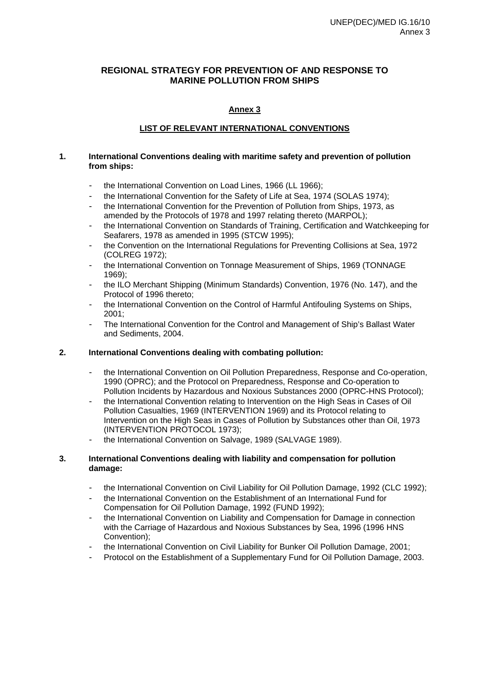### **Annex 3**

### **LIST OF RELEVANT INTERNATIONAL CONVENTIONS**

### **1. International Conventions dealing with maritime safety and prevention of pollution from ships:**

- the International Convention on Load Lines, 1966 (LL 1966);
- the International Convention for the Safety of Life at Sea, 1974 (SOLAS 1974);
- the International Convention for the Prevention of Pollution from Ships, 1973, as amended by the Protocols of 1978 and 1997 relating thereto (MARPOL);
- the International Convention on Standards of Training, Certification and Watchkeeping for Seafarers, 1978 as amended in 1995 (STCW 1995);
- the Convention on the International Regulations for Preventing Collisions at Sea, 1972 (COLREG 1972);
- the International Convention on Tonnage Measurement of Ships, 1969 (TONNAGE 1969);
- the ILO Merchant Shipping (Minimum Standards) Convention, 1976 (No. 147), and the Protocol of 1996 thereto;
- the International Convention on the Control of Harmful Antifouling Systems on Ships,  $2001$
- The International Convention for the Control and Management of Ship's Ballast Water and Sediments, 2004.

### **2. International Conventions dealing with combating pollution:**

- the International Convention on Oil Pollution Preparedness, Response and Co-operation, 1990 (OPRC); and the Protocol on Preparedness, Response and Co-operation to Pollution Incidents by Hazardous and Noxious Substances 2000 (OPRC-HNS Protocol);
- the International Convention relating to Intervention on the High Seas in Cases of Oil Pollution Casualties, 1969 (INTERVENTION 1969) and its Protocol relating to Intervention on the High Seas in Cases of Pollution by Substances other than Oil, 1973 (INTERVENTION PROTOCOL 1973);
- the International Convention on Salvage, 1989 (SALVAGE 1989).

### **3. International Conventions dealing with liability and compensation for pollution damage:**

- the International Convention on Civil Liability for Oil Pollution Damage, 1992 (CLC 1992);
- the International Convention on the Establishment of an International Fund for Compensation for Oil Pollution Damage, 1992 (FUND 1992);
- the International Convention on Liability and Compensation for Damage in connection with the Carriage of Hazardous and Noxious Substances by Sea, 1996 (1996 HNS Convention);
- the International Convention on Civil Liability for Bunker Oil Pollution Damage, 2001;
- Protocol on the Establishment of a Supplementary Fund for Oil Pollution Damage, 2003.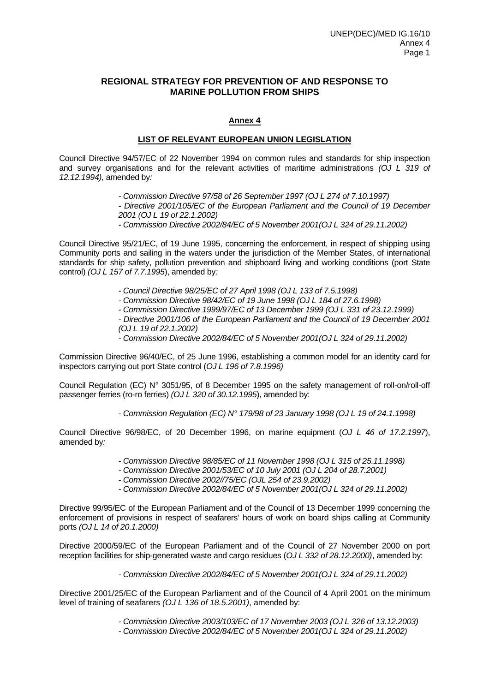### **Annex 4**

### **LIST OF RELEVANT EUROPEAN UNION LEGISLATION**

Council Directive 94/57/EC of 22 November 1994 on common rules and standards for ship inspection and survey organisations and for the relevant activities of maritime administrations *(OJ L 319 of 12.12.1994),* amended by*:* 

- *Commission Directive 97/58 of 26 September 1997 (OJ L 274 of 7.10.1997)*
- *Directive 2001/105/EC of the European Parliament and the Council of 19 December 2001 (OJ L 19 of 22.1.2002)*
- *Commission Directive 2002/84/EC of 5 November 2001(OJ L 324 of 29.11.2002)*

Council Directive 95/21/EC, of 19 June 1995, concerning the enforcement, in respect of shipping using Community ports and sailing in the waters under the jurisdiction of the Member States, of international standards for ship safety, pollution prevention and shipboard living and working conditions (port State control) *(OJ L 157 of 7.7.1995*), amended by*:* 

- *Council Directive 98/25/EC of 27 April 1998 (OJ L 133 of 7.5.1998)*
- *Commission Directive 98/42/EC of 19 June 1998 (OJ L 184 of 27.6.1998)*
- *Commission Directive 1999/97/EC of 13 December 1999 (OJ L 331 of 23.12.1999)*

*- Directive 2001/106 of the European Parliament and the Council of 19 December 2001 (OJ L 19 of 22.1.2002)* 

*- Commission Directive 2002/84/EC of 5 November 2001(OJ L 324 of 29.11.2002)*

Commission Directive 96/40/EC, of 25 June 1996, establishing a common model for an identity card for inspectors carrying out port State control (*OJ L 196 of 7.8.1996)* 

Council Regulation (EC) N° 3051/95, of 8 December 1995 on the safety management of roll-on/roll-off passenger ferries (ro-ro ferries) *(OJ L 320 of 30.12.1995*), amended by:

- *Commission Regulation (EC) N° 179/98 of 23 January 1998 (OJ L 19 of 24.1.1998)* 

Council Directive 96/98/EC, of 20 December 1996, on marine equipment (*OJ L 46 of 17.2.1997*), amended by*:* 

- *Commission Directive 98/85/EC of 11 November 1998 (OJ L 315 of 25.11.1998)*
- *Commission Directive 2001/53/EC of 10 July 2001 (OJ L 204 of 28.7.2001)*
- *Commission Directive 2002//75/EC (OJL 254 of 23.9.2002)*
- *Commission Directive 2002/84/EC of 5 November 2001(OJ L 324 of 29.11.2002)*

Directive 99/95/EC of the European Parliament and of the Council of 13 December 1999 concerning the enforcement of provisions in respect of seafarers' hours of work on board ships calling at Community ports *(OJ L 14 of 20.1.2000)* 

Directive 2000/59/EC of the European Parliament and of the Council of 27 November 2000 on port reception facilities for ship-generated waste and cargo residues (*OJ L 332 of 28.12.2000)*, amended by:

*- Commission Directive 2002/84/EC of 5 November 2001(OJ L 324 of 29.11.2002)*

Directive 2001/25/EC of the European Parliament and of the Council of 4 April 2001 on the minimum level of training of seafarers *(OJ L 136 of 18.5.2001)*, amended by:

*- Commission Directive 2003/103/EC of 17 November 2003 (OJ L 326 of 13.12.2003)* 

*- Commission Directive 2002/84/EC of 5 November 2001(OJ L 324 of 29.11.2002)*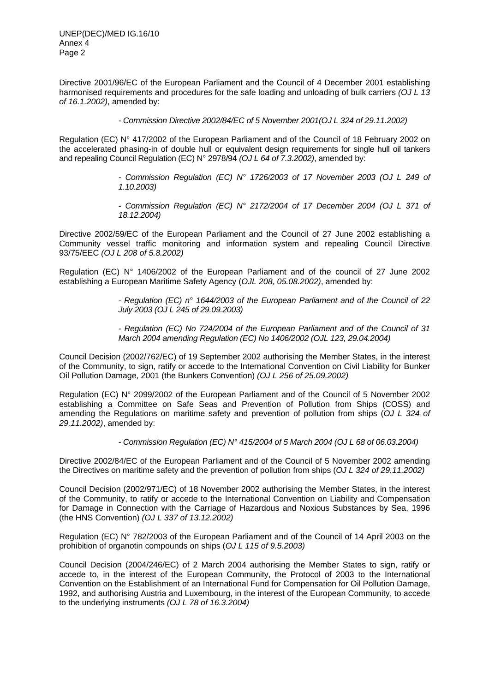Directive 2001/96/EC of the European Parliament and the Council of 4 December 2001 establishing harmonised requirements and procedures for the safe loading and unloading of bulk carriers *(OJ L 13 of 16.1.2002)*, amended by:

*- Commission Directive 2002/84/EC of 5 November 2001(OJ L 324 of 29.11.2002)*

Regulation (EC) N° 417/2002 of the European Parliament and of the Council of 18 February 2002 on the accelerated phasing-in of double hull or equivalent design requirements for single hull oil tankers and repealing Council Regulation (EC) N° 2978/94 *(OJ L 64 of 7.3.2002)*, amended by:

> *- Commission Regulation (EC) N° 1726/2003 of 17 November 2003 (OJ L 249 of 1.10.2003)*

> *- Commission Regulation (EC) N° 2172/2004 of 17 December 2004 (OJ L 371 of 18.12.2004)*

Directive 2002/59/EC of the European Parliament and the Council of 27 June 2002 establishing a Community vessel traffic monitoring and information system and repealing Council Directive 93/75/EEC *(OJ L 208 of 5.8.2002)* 

Regulation (EC) N° 1406/2002 of the European Parliament and of the council of 27 June 2002 establishing a European Maritime Safety Agency (*OJL 208, 05.08.2002)*, amended by:

> *- Regulation (EC) n° 1644/2003 of the European Parliament and of the Council of 22 July 2003 (OJ L 245 of 29.09.2003)*

> *- Regulation (EC) No 724/2004 of the European Parliament and of the Council of 31 March 2004 amending Regulation (EC) No 1406/2002 (OJL 123, 29.04.2004)*

Council Decision (2002/762/EC) of 19 September 2002 authorising the Member States, in the interest of the Community, to sign, ratify or accede to the International Convention on Civil Liability for Bunker Oil Pollution Damage, 2001 (the Bunkers Convention) *(OJ L 256 of 25.09.2002)*

Regulation (EC) N° 2099/2002 of the European Parliament and of the Council of 5 November 2002 establishing a Committee on Safe Seas and Prevention of Pollution from Ships (COSS) and amending the Regulations on maritime safety and prevention of pollution from ships (*OJ L 324 of 29.11.2002)*, amended by:

*- Commission Regulation (EC) N° 415/2004 of 5 March 2004 (OJ L 68 of 06.03.2004)*

Directive 2002/84/EC of the European Parliament and of the Council of 5 November 2002 amending the Directives on maritime safety and the prevention of pollution from ships (*OJ L 324 of 29.11.2002)* 

Council Decision (2002/971/EC) of 18 November 2002 authorising the Member States, in the interest of the Community, to ratify or accede to the International Convention on Liability and Compensation for Damage in Connection with the Carriage of Hazardous and Noxious Substances by Sea, 1996 (the HNS Convention) *(OJ L 337 of 13.12.2002)* 

Regulation (EC) N° 782/2003 of the European Parliament and of the Council of 14 April 2003 on the prohibition of organotin compounds on ships (*OJ L 115 of 9.5.2003)*

Council Decision (2004/246/EC) of 2 March 2004 authorising the Member States to sign, ratify or accede to, in the interest of the European Community, the Protocol of 2003 to the International Convention on the Establishment of an International Fund for Compensation for Oil Pollution Damage, 1992, and authorising Austria and Luxembourg, in the interest of the European Community, to accede to the underlying instruments *(OJ L 78 of 16.3.2004)*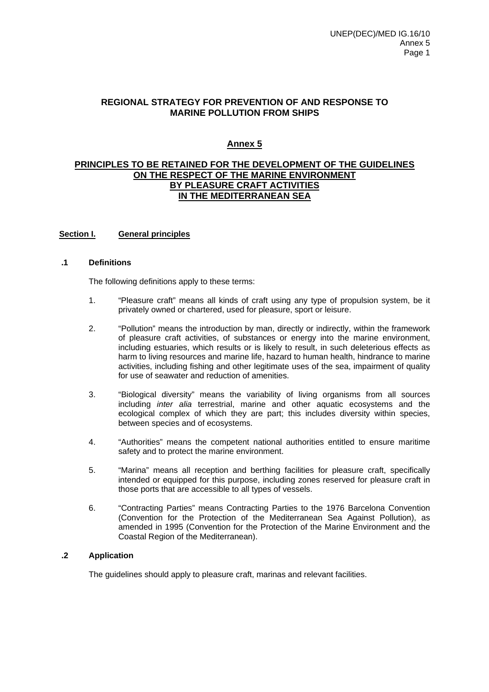### **Annex 5**

### **PRINCIPLES TO BE RETAINED FOR THE DEVELOPMENT OF THE GUIDELINES ON THE RESPECT OF THE MARINE ENVIRONMENT BY PLEASURE CRAFT ACTIVITIES IN THE MEDITERRANEAN SEA**

### **Section I. General principles**

### **.1 Definitions**

The following definitions apply to these terms:

- 1."Pleasure craft" means all kinds of craft using any type of propulsion system, be it privately owned or chartered, used for pleasure, sport or leisure.
- 2. "Pollution" means the introduction by man, directly or indirectly, within the framework of pleasure craft activities, of substances or energy into the marine environment, including estuaries, which results or is likely to result, in such deleterious effects as harm to living resources and marine life, hazard to human health, hindrance to marine activities, including fishing and other legitimate uses of the sea, impairment of quality for use of seawater and reduction of amenities.
- 3. "Biological diversity" means the variability of living organisms from all sources including *inter alia* terrestrial, marine and other aquatic ecosystems and the ecological complex of which they are part; this includes diversity within species, between species and of ecosystems.
- 4. "Authorities" means the competent national authorities entitled to ensure maritime safety and to protect the marine environment.
- 5. "Marina" means all reception and berthing facilities for pleasure craft, specifically intended or equipped for this purpose, including zones reserved for pleasure craft in those ports that are accessible to all types of vessels.
- 6. "Contracting Parties" means Contracting Parties to the 1976 Barcelona Convention (Convention for the Protection of the Mediterranean Sea Against Pollution), as amended in 1995 (Convention for the Protection of the Marine Environment and the Coastal Region of the Mediterranean).

### **.2 Application**

The guidelines should apply to pleasure craft, marinas and relevant facilities.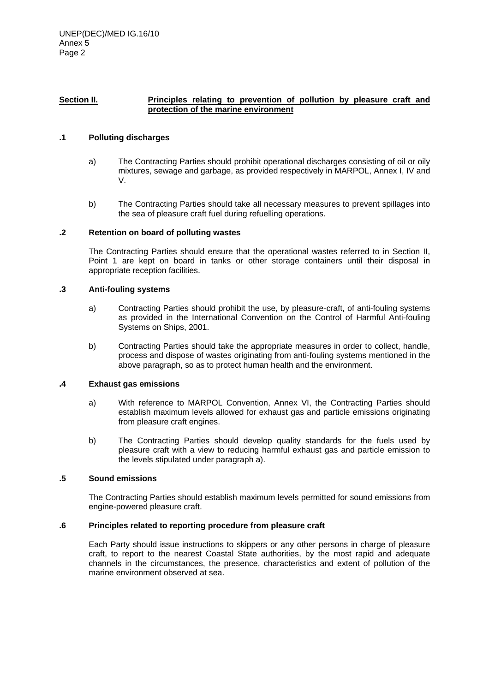### Section II. **Principles relating to prevention of pollution by pleasure craft and protection of the marine environment**

### **.1 Polluting discharges**

- a) The Contracting Parties should prohibit operational discharges consisting of oil or oily mixtures, sewage and garbage, as provided respectively in MARPOL, Annex I, IV and V.
- b) The Contracting Parties should take all necessary measures to prevent spillages into the sea of pleasure craft fuel during refuelling operations.

### **.2 Retention on board of polluting wastes**

The Contracting Parties should ensure that the operational wastes referred to in Section II, Point 1 are kept on board in tanks or other storage containers until their disposal in appropriate reception facilities.

#### **.3 Anti-fouling systems**

- a) Contracting Parties should prohibit the use, by pleasure-craft, of anti-fouling systems as provided in the International Convention on the Control of Harmful Anti-fouling Systems on Ships, 2001.
- b) Contracting Parties should take the appropriate measures in order to collect, handle, process and dispose of wastes originating from anti-fouling systems mentioned in the above paragraph, so as to protect human health and the environment.

### **.4 Exhaust gas emissions**

- a) With reference to MARPOL Convention, Annex VI, the Contracting Parties should establish maximum levels allowed for exhaust gas and particle emissions originating from pleasure craft engines.
- b) The Contracting Parties should develop quality standards for the fuels used by pleasure craft with a view to reducing harmful exhaust gas and particle emission to the levels stipulated under paragraph a).

### **.5 Sound emissions**

The Contracting Parties should establish maximum levels permitted for sound emissions from engine-powered pleasure craft.

### **.6 Principles related to reporting procedure from pleasure craft**

Each Party should issue instructions to skippers or any other persons in charge of pleasure craft, to report to the nearest Coastal State authorities, by the most rapid and adequate channels in the circumstances, the presence, characteristics and extent of pollution of the marine environment observed at sea.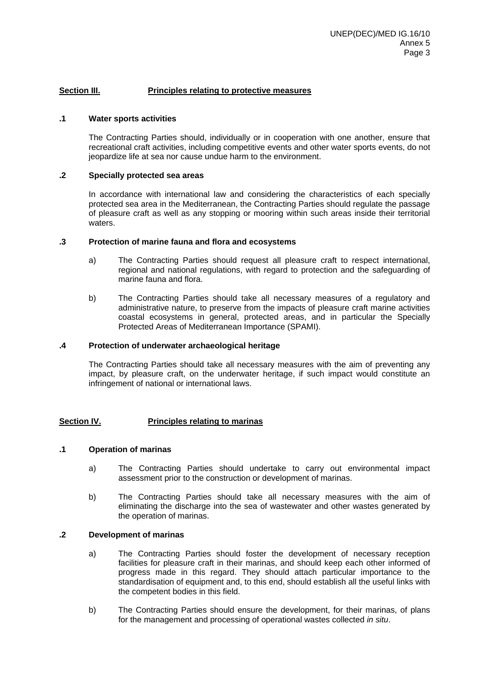### **Section III. Principles relating to protective measures**

#### **.1 Water sports activities**

The Contracting Parties should, individually or in cooperation with one another, ensure that recreational craft activities, including competitive events and other water sports events, do not jeopardize life at sea nor cause undue harm to the environment.

### **.2 Specially protected sea areas**

In accordance with international law and considering the characteristics of each specially protected sea area in the Mediterranean, the Contracting Parties should regulate the passage of pleasure craft as well as any stopping or mooring within such areas inside their territorial waters.

#### **.3 Protection of marine fauna and flora and ecosystems**

- a) The Contracting Parties should request all pleasure craft to respect international, regional and national regulations, with regard to protection and the safeguarding of marine fauna and flora.
- b) The Contracting Parties should take all necessary measures of a regulatory and administrative nature, to preserve from the impacts of pleasure craft marine activities coastal ecosystems in general, protected areas, and in particular the Specially Protected Areas of Mediterranean Importance (SPAMI).

#### **.4 Protection of underwater archaeological heritage**

The Contracting Parties should take all necessary measures with the aim of preventing any impact, by pleasure craft, on the underwater heritage, if such impact would constitute an infringement of national or international laws.

### **Section IV. Principles relating to marinas**

#### **.1 Operation of marinas**

- a) The Contracting Parties should undertake to carry out environmental impact assessment prior to the construction or development of marinas.
- b) The Contracting Parties should take all necessary measures with the aim of eliminating the discharge into the sea of wastewater and other wastes generated by the operation of marinas.

### **.2 Development of marinas**

- a) The Contracting Parties should foster the development of necessary reception facilities for pleasure craft in their marinas, and should keep each other informed of progress made in this regard. They should attach particular importance to the standardisation of equipment and, to this end, should establish all the useful links with the competent bodies in this field.
- b) The Contracting Parties should ensure the development, for their marinas, of plans for the management and processing of operational wastes collected *in situ*.